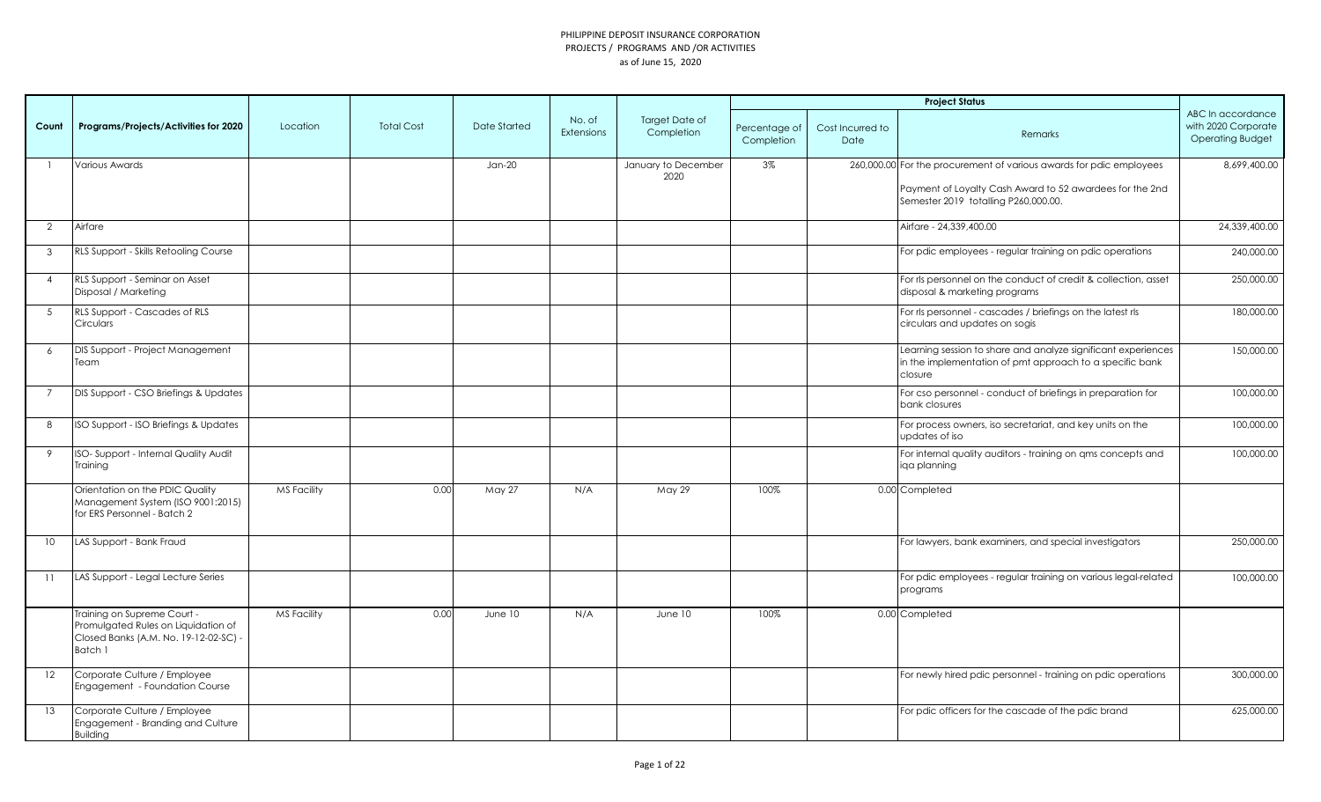|                |                                                                                                                        |                    |                   |              |                             |                                     |                             |                          | <b>Project Status</b>                                                                                                                |                                                                     |
|----------------|------------------------------------------------------------------------------------------------------------------------|--------------------|-------------------|--------------|-----------------------------|-------------------------------------|-----------------------------|--------------------------|--------------------------------------------------------------------------------------------------------------------------------------|---------------------------------------------------------------------|
| Count          | Programs/Projects/Activities for 2020                                                                                  | Location           | <b>Total Cost</b> | Date Started | No. of<br><b>Extensions</b> | <b>Target Date of</b><br>Completion | Percentage of<br>Completion | Cost Incurred to<br>Date | Remarks                                                                                                                              | ABC In accordance<br>with 2020 Corporate<br><b>Operating Budget</b> |
|                | Various Awards                                                                                                         |                    |                   | $Jan-20$     |                             | January to December                 | 3%                          |                          | 260,000.00 For the procurement of various awards for pdic employees                                                                  | 8,699,400.00                                                        |
|                |                                                                                                                        |                    |                   |              |                             | 2020                                |                             |                          | Payment of Loyalty Cash Award to 52 awardees for the 2nd<br>Semester 2019 totalling P260,000.00.                                     |                                                                     |
| $\overline{2}$ | Airfare                                                                                                                |                    |                   |              |                             |                                     |                             |                          | Airfare - 24,339,400.00                                                                                                              | 24,339,400.00                                                       |
| 3              | RLS Support - Skills Retooling Course                                                                                  |                    |                   |              |                             |                                     |                             |                          | For pdic employees - regular training on pdic operations                                                                             | 240,000.00                                                          |
| $\overline{4}$ | RLS Support - Seminar on Asset<br>Disposal / Marketing                                                                 |                    |                   |              |                             |                                     |                             |                          | For rls personnel on the conduct of credit & collection, asset<br>disposal & marketing programs                                      | 250,000.00                                                          |
| 5              | RLS Support - Cascades of RLS<br>Circulars                                                                             |                    |                   |              |                             |                                     |                             |                          | For rls personnel - cascades / briefings on the latest rls<br>circulars and updates on sogis                                         | 180,000.00                                                          |
| 6              | DIS Support - Project Management<br>Team                                                                               |                    |                   |              |                             |                                     |                             |                          | Learning session to share and analyze significant experiences<br>in the implementation of pmt approach to a specific bank<br>closure | 150,000.00                                                          |
| $\overline{7}$ | DIS Support - CSO Briefings & Updates                                                                                  |                    |                   |              |                             |                                     |                             |                          | For cso personnel - conduct of briefings in preparation for<br>bank closures                                                         | 100,000.00                                                          |
| 8              | ISO Support - ISO Briefings & Updates                                                                                  |                    |                   |              |                             |                                     |                             |                          | For process owners, iso secretariat, and key units on the<br>updates of iso                                                          | 100,000.00                                                          |
| 9              | ISO-Support - Internal Quality Audit<br>Training                                                                       |                    |                   |              |                             |                                     |                             |                          | For internal quality auditors - training on ams concepts and<br>iga planning                                                         | 100,000.00                                                          |
|                | Orientation on the PDIC Quality<br>Management System (ISO 9001:2015)<br>for ERS Personnel - Batch 2                    | <b>MS Facility</b> | 0.00              | May 27       | N/A                         | May 29                              | 100%                        |                          | 0.00 Completed                                                                                                                       |                                                                     |
| 10             | LAS Support - Bank Fraud                                                                                               |                    |                   |              |                             |                                     |                             |                          | For lawyers, bank examiners, and special investigators                                                                               | 250,000.00                                                          |
| 11             | LAS Support - Legal Lecture Series                                                                                     |                    |                   |              |                             |                                     |                             |                          | For pdic employees - regular training on various legal-related<br>programs                                                           | 100,000.00                                                          |
|                | Training on Supreme Court -<br>Promulgated Rules on Liquidation of<br>Closed Banks (A.M. No. 19-12-02-SC) -<br>Batch 1 | MS Facility        | 0.00              | June 10      | N/A                         | June 10                             | 100%                        |                          | 0.00 Completed                                                                                                                       |                                                                     |
| 12             | Corporate Culture / Employee<br>Engagement - Foundation Course                                                         |                    |                   |              |                             |                                     |                             |                          | For newly hired pdic personnel - training on pdic operations                                                                         | 300,000.00                                                          |
| 13             | Corporate Culture / Employee<br>Engagement - Branding and Culture<br><b>Building</b>                                   |                    |                   |              |                             |                                     |                             |                          | For pdic officers for the cascade of the pdic brand                                                                                  | 625,000.00                                                          |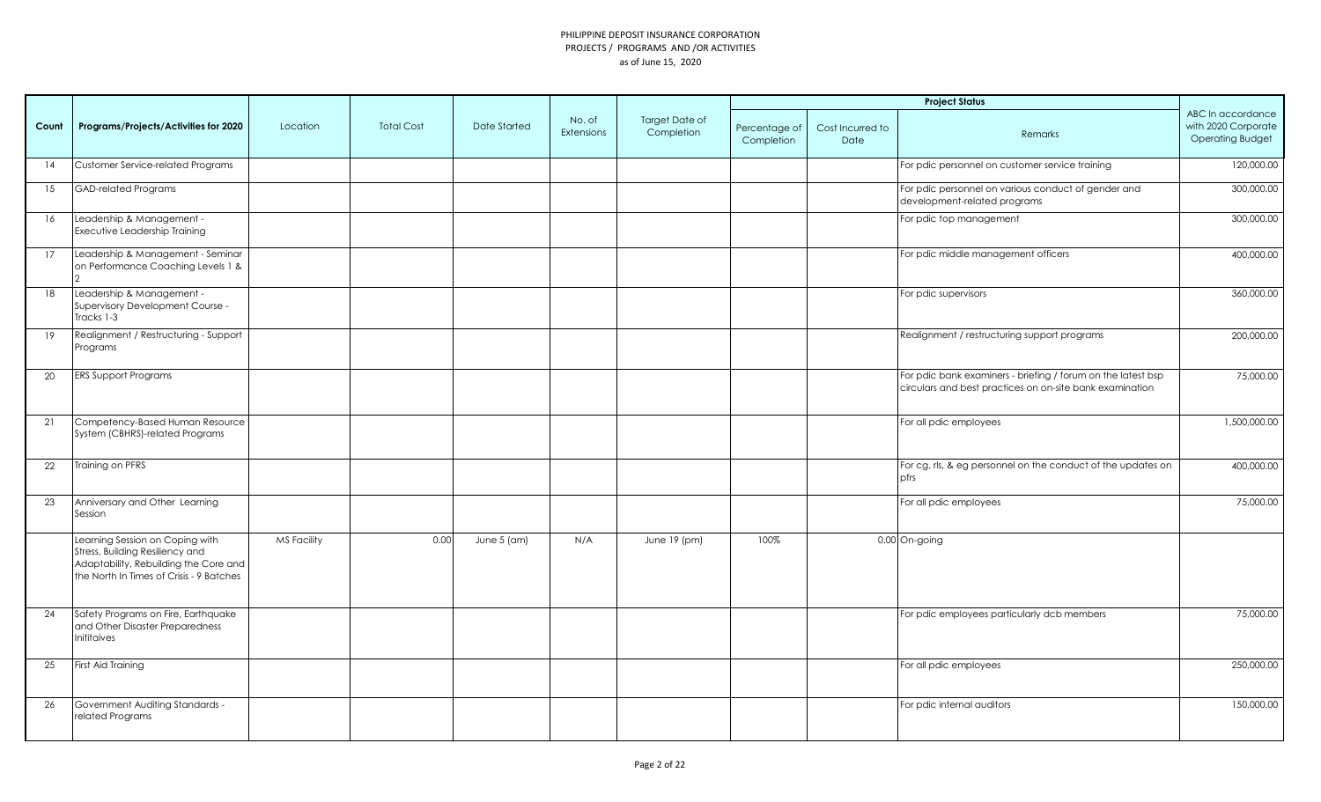|       |                                                                                                                                                         |                    |                   |                     |                             |                              |                             |                          | <b>Project Status</b>                                                                                                    |                                                                     |
|-------|---------------------------------------------------------------------------------------------------------------------------------------------------------|--------------------|-------------------|---------------------|-----------------------------|------------------------------|-----------------------------|--------------------------|--------------------------------------------------------------------------------------------------------------------------|---------------------------------------------------------------------|
| Count | Programs/Projects/Activities for 2020                                                                                                                   | Location           | <b>Total Cost</b> | <b>Date Started</b> | No. of<br><b>Extensions</b> | Target Date of<br>Completion | Percentage of<br>Completion | Cost Incurred to<br>Date | Remarks                                                                                                                  | ABC In accordance<br>with 2020 Corporate<br><b>Operating Budget</b> |
| 14    | <b>Customer Service-related Programs</b>                                                                                                                |                    |                   |                     |                             |                              |                             |                          | For pdic personnel on customer service training                                                                          | 120,000.00                                                          |
| 15    | <b>GAD-related Programs</b>                                                                                                                             |                    |                   |                     |                             |                              |                             |                          | For pdic personnel on various conduct of gender and<br>development-related programs                                      | 300,000.00                                                          |
| 16    | Leadership & Management -<br>Executive Leadership Training                                                                                              |                    |                   |                     |                             |                              |                             |                          | For pdic top management                                                                                                  | 300,000.00                                                          |
| 17    | Leadership & Management - Seminar<br>on Performance Coaching Levels 1 &                                                                                 |                    |                   |                     |                             |                              |                             |                          | For pdic middle management officers                                                                                      | 400,000.00                                                          |
| 18    | Leadership & Management -<br>Supervisory Development Course -<br>Tracks 1-3                                                                             |                    |                   |                     |                             |                              |                             |                          | For pdic supervisors                                                                                                     | 360,000.00                                                          |
| 19    | Realignment / Restructuring - Support<br>Programs                                                                                                       |                    |                   |                     |                             |                              |                             |                          | Realignment / restructuring support programs                                                                             | 200,000.00                                                          |
| 20    | <b>ERS Support Programs</b>                                                                                                                             |                    |                   |                     |                             |                              |                             |                          | For pdic bank examiners - briefing / forum on the latest bsp<br>circulars and best practices on on-site bank examination | 75,000.00                                                           |
| 21    | Competency-Based Human Resource<br>System (CBHRS)-related Programs                                                                                      |                    |                   |                     |                             |                              |                             |                          | For all pdic employees                                                                                                   | 1,500,000.00                                                        |
| 22    | Training on PFRS                                                                                                                                        |                    |                   |                     |                             |                              |                             |                          | For cg, rls, & eg personnel on the conduct of the updates on<br>pfrs                                                     | 400,000.00                                                          |
| 23    | Anniversary and Other Learning<br>Session                                                                                                               |                    |                   |                     |                             |                              |                             |                          | For all pdic employees                                                                                                   | 75,000.00                                                           |
|       | Learning Session on Coping with<br>Stress, Building Resiliency and<br>Adaptability, Rebuilding the Core and<br>the North In Times of Crisis - 9 Batches | <b>MS Facility</b> | 0.00              | June 5 (am)         | N/A                         | June 19 (pm)                 | 100%                        |                          | 0.00 On-going                                                                                                            |                                                                     |
| 24    | Safety Programs on Fire, Earthquake<br>and Other Disaster Preparedness<br><b>Inititaives</b>                                                            |                    |                   |                     |                             |                              |                             |                          | For pdic employees particularly dcb members                                                                              | 75,000.00                                                           |
| 25    | First Aid Training                                                                                                                                      |                    |                   |                     |                             |                              |                             |                          | For all pdic employees                                                                                                   | 250,000.00                                                          |
| 26    | <b>Government Auditing Standards -</b><br>related Programs                                                                                              |                    |                   |                     |                             |                              |                             |                          | For pdic internal auditors                                                                                               | 150,000.00                                                          |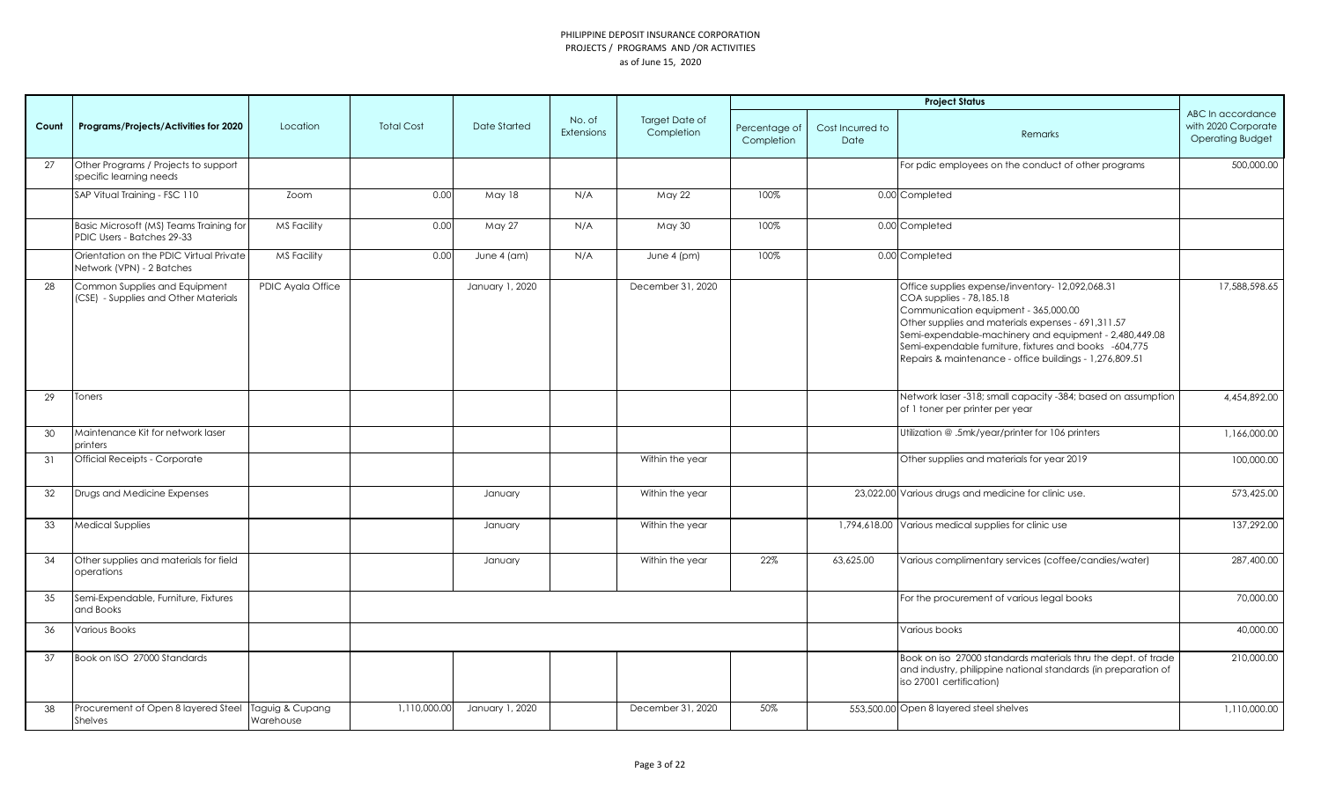|       |                                                                       |                              |                   |                 |                             |                                     |                             |                          | <b>Project Status</b>                                                                                                                                                                                                                                                                                                                                    |                                                                     |
|-------|-----------------------------------------------------------------------|------------------------------|-------------------|-----------------|-----------------------------|-------------------------------------|-----------------------------|--------------------------|----------------------------------------------------------------------------------------------------------------------------------------------------------------------------------------------------------------------------------------------------------------------------------------------------------------------------------------------------------|---------------------------------------------------------------------|
| Count | Programs/Projects/Activities for 2020                                 | Location                     | <b>Total Cost</b> | Date Started    | No. of<br><b>Extensions</b> | <b>Target Date of</b><br>Completion | Percentage of<br>Completion | Cost Incurred to<br>Date | Remarks                                                                                                                                                                                                                                                                                                                                                  | ABC In accordance<br>with 2020 Corporate<br><b>Operating Budget</b> |
| 27    | Other Programs / Projects to support<br>specific learning needs       |                              |                   |                 |                             |                                     |                             |                          | For pdic employees on the conduct of other programs                                                                                                                                                                                                                                                                                                      | 500,000.00                                                          |
|       | SAP Vitual Training - FSC 110                                         | Zoom                         | 0.00              | May 18          | N/A                         | May 22                              | 100%                        |                          | 0.00 Completed                                                                                                                                                                                                                                                                                                                                           |                                                                     |
|       | Basic Microsoft (MS) Teams Training for<br>PDIC Users - Batches 29-33 | <b>MS Facility</b>           | 0.00              | May 27          | N/A                         | May 30                              | 100%                        |                          | 0.00 Completed                                                                                                                                                                                                                                                                                                                                           |                                                                     |
|       | Orientation on the PDIC Virtual Private<br>Network (VPN) - 2 Batches  | <b>MS Facility</b>           | 0.00              | June 4 (am)     | N/A                         | June $4$ (pm)                       | 100%                        |                          | 0.00 Completed                                                                                                                                                                                                                                                                                                                                           |                                                                     |
| 28    | Common Supplies and Equipment<br>(CSE) - Supplies and Other Materials | PDIC Ayala Office            |                   | January 1, 2020 |                             | December 31, 2020                   |                             |                          | Office supplies expense/inventory-12,092,068.31<br>COA supplies - 78,185.18<br>Communication equipment - 365,000.00<br>Other supplies and materials expenses - 691,311.57<br>Semi-expendable-machinery and equipment - 2,480,449.08<br>Semi-expendable furniture, fixtures and books -604,775<br>Repairs & maintenance - office buildings - 1,276,809.51 | 17.588.598.65                                                       |
| 29    | Toners                                                                |                              |                   |                 |                             |                                     |                             |                          | Network laser -318; small capacity -384; based on assumption<br>of 1 toner per printer per year                                                                                                                                                                                                                                                          | 4,454,892.00                                                        |
| 30    | Maintenance Kit for network laser<br>printers                         |                              |                   |                 |                             |                                     |                             |                          | Utilization @ .5mk/year/printer for 106 printers                                                                                                                                                                                                                                                                                                         | 1,166,000.00                                                        |
| 31    | <b>Official Receipts - Corporate</b>                                  |                              |                   |                 |                             | Within the year                     |                             |                          | Other supplies and materials for year 2019                                                                                                                                                                                                                                                                                                               | 100,000.00                                                          |
| 32    | Drugs and Medicine Expenses                                           |                              |                   | January         |                             | Within the year                     |                             |                          | 23,022.00 Various drugs and medicine for clinic use.                                                                                                                                                                                                                                                                                                     | 573,425.00                                                          |
| 33    | <b>Medical Supplies</b>                                               |                              |                   | January         |                             | Within the year                     |                             |                          | 1,794,618.00 Various medical supplies for clinic use                                                                                                                                                                                                                                                                                                     | 137,292.00                                                          |
| 34    | Other supplies and materials for field<br>operations                  |                              |                   | January         |                             | Within the year                     | 22%                         | 63,625.00                | Various complimentary services (coffee/candies/water)                                                                                                                                                                                                                                                                                                    | 287,400.00                                                          |
| 35    | Semi-Expendable, Furniture, Fixtures<br>and Books                     |                              |                   |                 |                             |                                     |                             |                          | For the procurement of various legal books                                                                                                                                                                                                                                                                                                               | 70,000.00                                                           |
| 36    | Various Books                                                         |                              |                   |                 |                             |                                     |                             |                          | Various books                                                                                                                                                                                                                                                                                                                                            | 40,000.00                                                           |
| 37    | Book on ISO 27000 Standards                                           |                              |                   |                 |                             |                                     |                             |                          | Book on iso 27000 standards materials thru the dept. of trade<br>and industry, philippine national standards (in preparation of<br>iso 27001 certification)                                                                                                                                                                                              | 210,000.00                                                          |
| 38    | Procurement of Open 8 layered Steel<br>Shelves                        | Taguig & Cupang<br>Warehouse | 1,110,000.00      | January 1, 2020 |                             | December 31, 2020                   | 50%                         |                          | 553,500.00 Open 8 layered steel shelves                                                                                                                                                                                                                                                                                                                  | 1,110,000.00                                                        |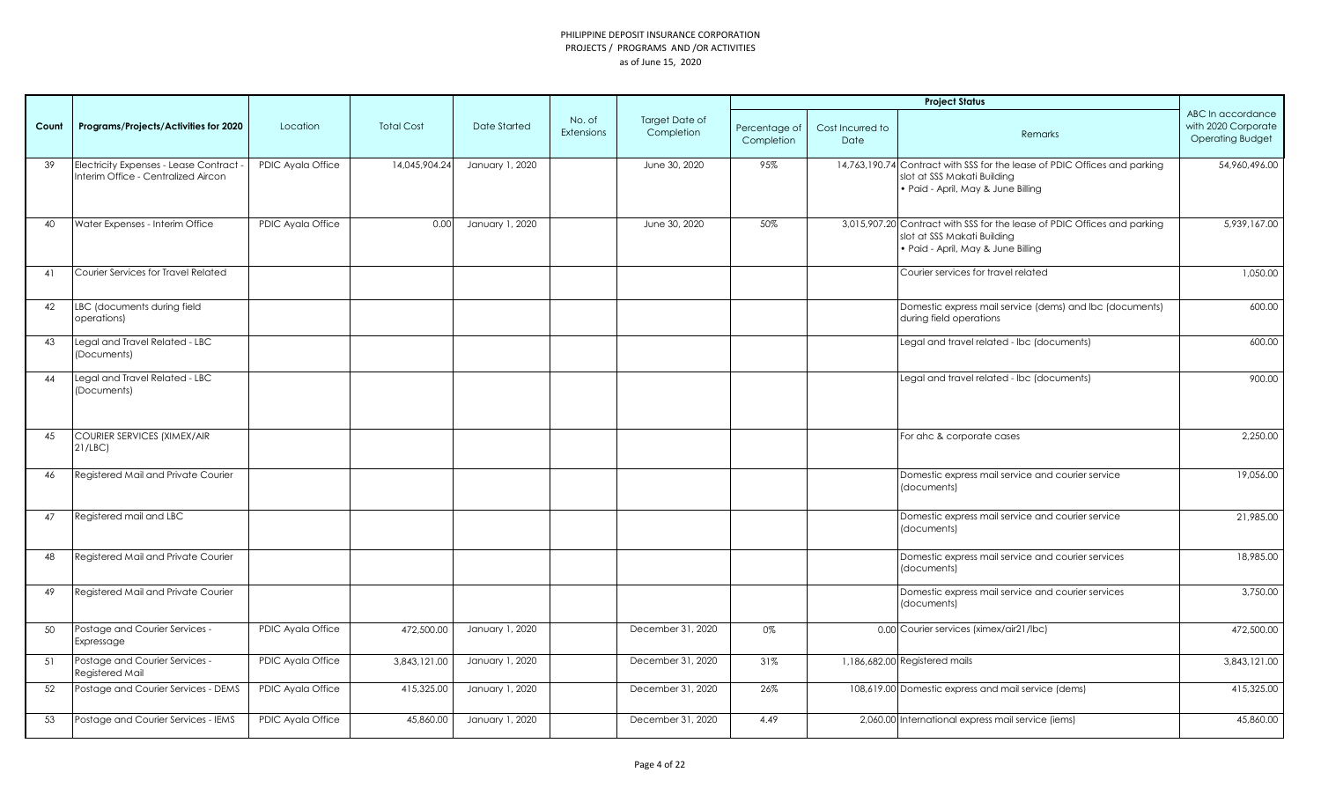|       |                                                                                |                   |                   |                 |                             |                              |                             |                          | <b>Project Status</b>                                                                                                                          |                                                                     |
|-------|--------------------------------------------------------------------------------|-------------------|-------------------|-----------------|-----------------------------|------------------------------|-----------------------------|--------------------------|------------------------------------------------------------------------------------------------------------------------------------------------|---------------------------------------------------------------------|
| Count | Programs/Projects/Activities for 2020                                          | Location          | <b>Total Cost</b> | Date Started    | No. of<br><b>Extensions</b> | Target Date of<br>Completion | Percentage of<br>Completion | Cost Incurred to<br>Date | Remarks                                                                                                                                        | ABC In accordance<br>with 2020 Corporate<br><b>Operating Budget</b> |
| 39    | Electricity Expenses - Lease Contract -<br>Interim Office - Centralized Aircon | PDIC Ayala Office | 14,045,904.24     | January 1, 2020 |                             | June 30, 2020                | 95%                         |                          | 14,763,190.74 Contract with SSS for the lease of PDIC Offices and parking<br>slot at SSS Makati Building<br>· Paid - April, May & June Billing | 54,960,496.00                                                       |
| 40    | Water Expenses - Interim Office                                                | PDIC Ayala Office | 0.00              | January 1, 2020 |                             | June 30, 2020                | 50%                         |                          | 3,015,907.20 Contract with SSS for the lease of PDIC Offices and parking<br>slot at SSS Makati Building<br>· Paid - April, May & June Billing  | 5,939,167.00                                                        |
| 41    | Courier Services for Travel Related                                            |                   |                   |                 |                             |                              |                             |                          | Courier services for travel related                                                                                                            | 1,050.00                                                            |
| 42    | LBC (documents during field<br>operations)                                     |                   |                   |                 |                             |                              |                             |                          | Domestic express mail service (dems) and lbc (documents)<br>during field operations                                                            | 600.00                                                              |
| 43    | Legal and Travel Related - LBC<br>(Documents)                                  |                   |                   |                 |                             |                              |                             |                          | Legal and travel related - Ibc (documents)                                                                                                     | 600.00                                                              |
| 44    | Legal and Travel Related - LBC<br>(Documents)                                  |                   |                   |                 |                             |                              |                             |                          | Legal and travel related - Ibc (documents)                                                                                                     | 900.00                                                              |
| 45    | <b>COURIER SERVICES (XIMEX/AIR</b><br>21/LEC                                   |                   |                   |                 |                             |                              |                             |                          | For ahc & corporate cases                                                                                                                      | 2,250.00                                                            |
| 46    | Registered Mail and Private Courier                                            |                   |                   |                 |                             |                              |                             |                          | Domestic express mail service and courier service<br>(documents)                                                                               | 19,056.00                                                           |
| 47    | Registered mail and LBC                                                        |                   |                   |                 |                             |                              |                             |                          | Domestic express mail service and courier service<br>(documents)                                                                               | 21,985.00                                                           |
| 48    | Registered Mail and Private Courier                                            |                   |                   |                 |                             |                              |                             |                          | Domestic express mail service and courier services<br>(documents)                                                                              | 18,985.00                                                           |
| 49    | Registered Mail and Private Courier                                            |                   |                   |                 |                             |                              |                             |                          | Domestic express mail service and courier services<br>(documents)                                                                              | 3,750.00                                                            |
| 50    | Postage and Courier Services -<br>Expressage                                   | PDIC Ayala Office | 472,500.00        | January 1, 2020 |                             | December 31, 2020            | 0%                          |                          | 0.00 Courier services (ximex/air21/lbc)                                                                                                        | 472,500.00                                                          |
| 51    | Postage and Courier Services -<br>Registered Mail                              | PDIC Ayala Office | 3,843,121.00      | January 1, 2020 |                             | December 31, 2020            | 31%                         |                          | 1,186,682.00 Registered mails                                                                                                                  | 3,843,121.00                                                        |
| 52    | Postage and Courier Services - DEMS                                            | PDIC Ayala Office | 415,325.00        | January 1, 2020 |                             | December 31, 2020            | 26%                         |                          | 108,619.00 Domestic express and mail service (dems)                                                                                            | 415,325.00                                                          |
| 53    | Postage and Courier Services - IEMS                                            | PDIC Ayala Office | 45,860.00         | January 1, 2020 |                             | December 31, 2020            | 4.49                        |                          | 2,060.00 International express mail service (iems)                                                                                             | 45,860.00                                                           |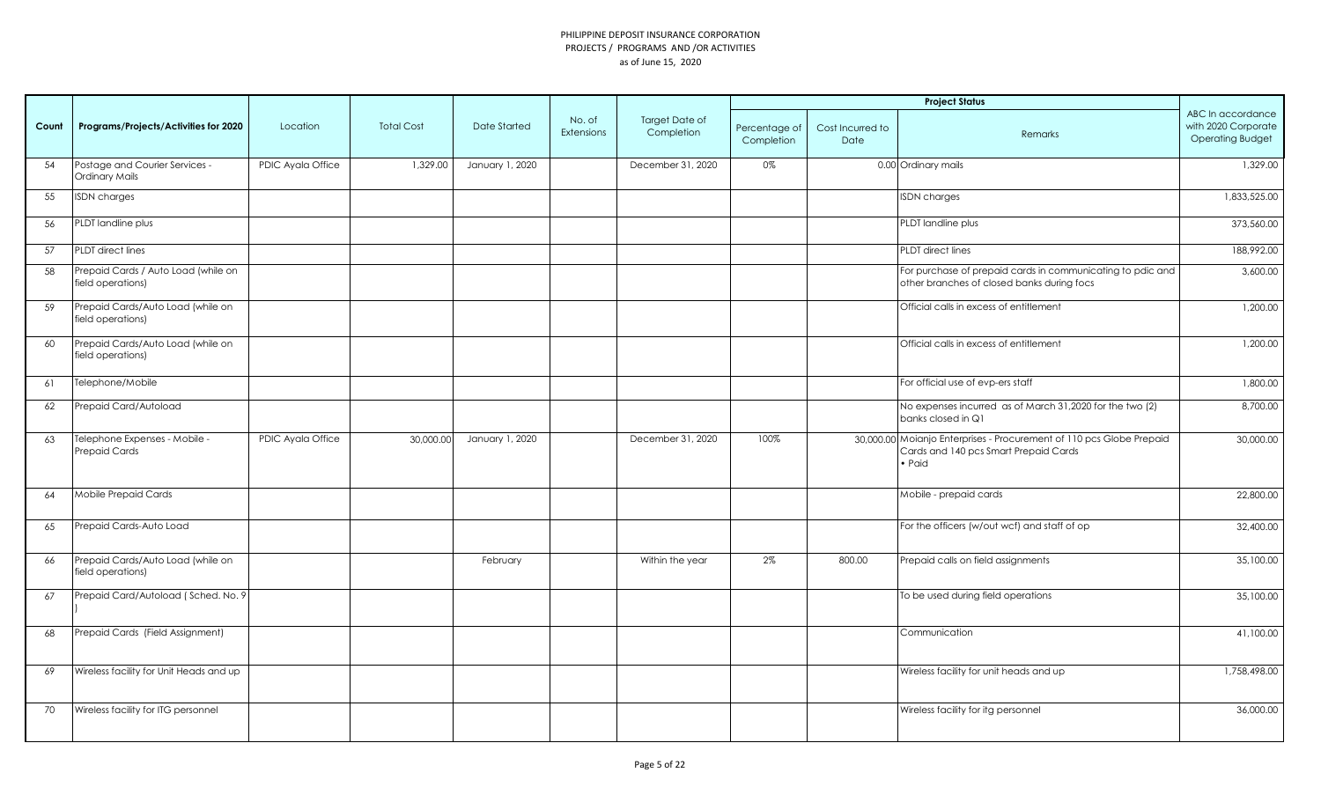|       |                                                          |                   |                   |                     |                             |                                     |                             |                          | <b>Project Status</b>                                                                                                           |                                                                     |
|-------|----------------------------------------------------------|-------------------|-------------------|---------------------|-----------------------------|-------------------------------------|-----------------------------|--------------------------|---------------------------------------------------------------------------------------------------------------------------------|---------------------------------------------------------------------|
| Count | Programs/Projects/Activities for 2020                    | Location          | <b>Total Cost</b> | <b>Date Started</b> | No. of<br><b>Extensions</b> | <b>Target Date of</b><br>Completion | Percentage of<br>Completion | Cost Incurred to<br>Date | Remarks                                                                                                                         | ABC In accordance<br>with 2020 Corporate<br><b>Operating Budget</b> |
| 54    | Postage and Courier Services -<br><b>Ordinary Mails</b>  | PDIC Ayala Office | 1,329.00          | January 1, 2020     |                             | December 31, 2020                   | 0%                          |                          | 0.00 Ordinary mails                                                                                                             | 1,329.00                                                            |
| 55    | <b>ISDN</b> charges                                      |                   |                   |                     |                             |                                     |                             |                          | <b>ISDN</b> charges                                                                                                             | 1,833,525.00                                                        |
| 56    | PLDT landline plus                                       |                   |                   |                     |                             |                                     |                             |                          | PLDT landline plus                                                                                                              | 373,560.00                                                          |
| 57    | PLDT direct lines                                        |                   |                   |                     |                             |                                     |                             |                          | <b>PLDT</b> direct lines                                                                                                        | 188,992.00                                                          |
| 58    | Prepaid Cards / Auto Load (while on<br>field operations) |                   |                   |                     |                             |                                     |                             |                          | For purchase of prepaid cards in communicating to pdic and<br>other branches of closed banks during focs                        | 3,600.00                                                            |
| 59    | Prepaid Cards/Auto Load (while on<br>field operations)   |                   |                   |                     |                             |                                     |                             |                          | Official calls in excess of entitlement                                                                                         | 1,200.00                                                            |
| 60    | Prepaid Cards/Auto Load (while on<br>field operations)   |                   |                   |                     |                             |                                     |                             |                          | Official calls in excess of entitlement                                                                                         | 1,200.00                                                            |
| 61    | Telephone/Mobile                                         |                   |                   |                     |                             |                                     |                             |                          | For official use of evp-ers staff                                                                                               | 1,800.00                                                            |
| 62    | Prepaid Card/Autoload                                    |                   |                   |                     |                             |                                     |                             |                          | No expenses incurred as of March 31,2020 for the two (2)<br>banks closed in Q1                                                  | 8,700.00                                                            |
| 63    | Telephone Expenses - Mobile -<br><b>Prepaid Cards</b>    | PDIC Ayala Office | 30,000.00         | January 1, 2020     |                             | December 31, 2020                   | 100%                        |                          | 30,000.00 Moianjo Enterprises - Procurement of 110 pcs Globe Prepaid<br>Cards and 140 pcs Smart Prepaid Cards<br>$\bullet$ Paid | 30,000.00                                                           |
| 64    | Mobile Prepaid Cards                                     |                   |                   |                     |                             |                                     |                             |                          | Mobile - prepaid cards                                                                                                          | 22,800.00                                                           |
| 65    | Prepaid Cards-Auto Load                                  |                   |                   |                     |                             |                                     |                             |                          | For the officers (w/out wcf) and staff of op                                                                                    | 32,400.00                                                           |
| 66    | Prepaid Cards/Auto Load (while on<br>field operations)   |                   |                   | February            |                             | Within the year                     | 2%                          | 800.00                   | Prepaid calls on field assignments                                                                                              | 35,100.00                                                           |
| 67    | Prepaid Card/Autoload (Sched. No. 9                      |                   |                   |                     |                             |                                     |                             |                          | To be used during field operations                                                                                              | 35,100.00                                                           |
| 68    | Prepaid Cards (Field Assignment)                         |                   |                   |                     |                             |                                     |                             |                          | Communication                                                                                                                   | 41,100.00                                                           |
| 69    | Wireless facility for Unit Heads and up                  |                   |                   |                     |                             |                                     |                             |                          | Wireless facility for unit heads and up                                                                                         | 1,758,498.00                                                        |
| 70    | Wireless facility for ITG personnel                      |                   |                   |                     |                             |                                     |                             |                          | Wireless facility for itg personnel                                                                                             | 36,000.00                                                           |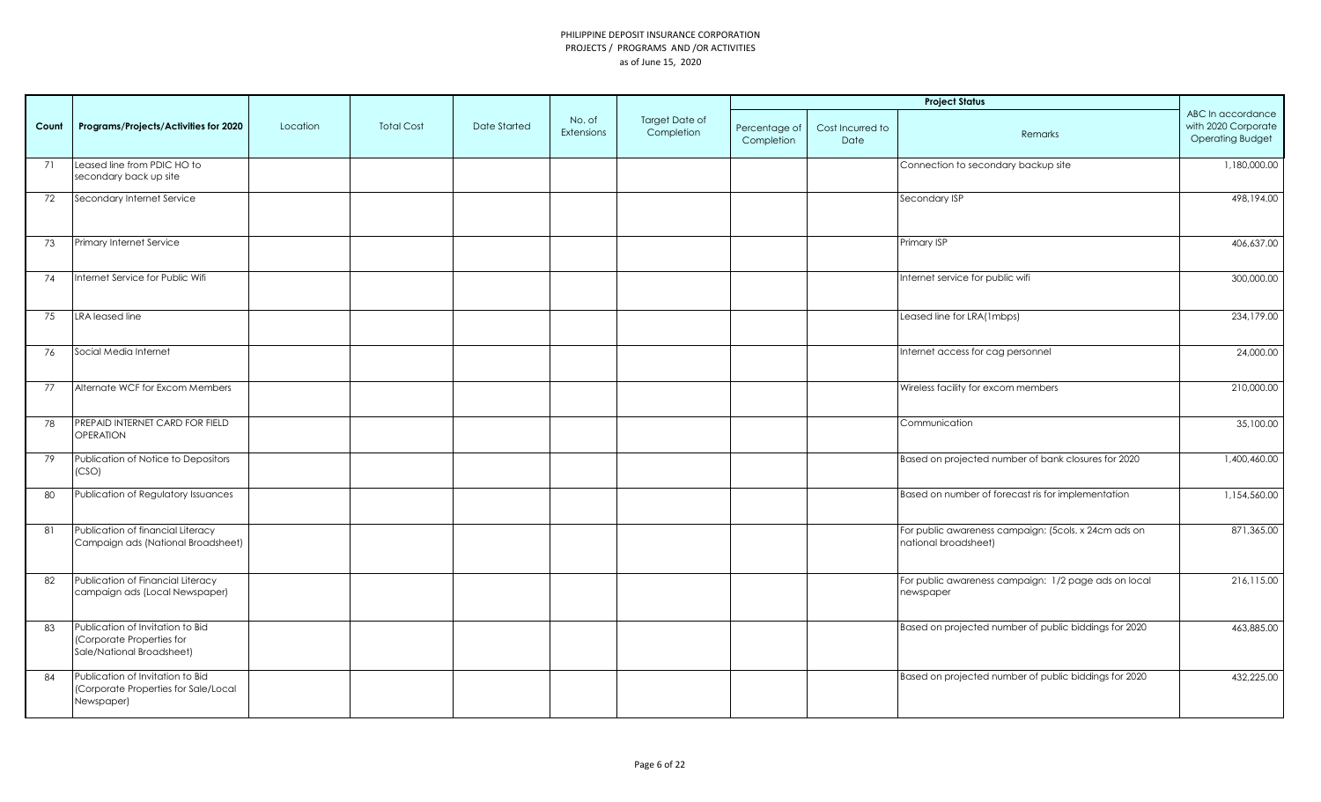|       |                                                                                            |          |                   |                     |                             |                              |                             |                          | <b>Project Status</b>                                                        |                                                                     |
|-------|--------------------------------------------------------------------------------------------|----------|-------------------|---------------------|-----------------------------|------------------------------|-----------------------------|--------------------------|------------------------------------------------------------------------------|---------------------------------------------------------------------|
| Count | Programs/Projects/Activities for 2020                                                      | Location | <b>Total Cost</b> | <b>Date Started</b> | No. of<br><b>Extensions</b> | Target Date of<br>Completion | Percentage of<br>Completion | Cost Incurred to<br>Date | Remarks                                                                      | ABC In accordance<br>with 2020 Corporate<br><b>Operating Budget</b> |
| 71    | Leased line from PDIC HO to<br>secondary back up site                                      |          |                   |                     |                             |                              |                             |                          | Connection to secondary backup site                                          | 1,180,000.00                                                        |
| 72    | Secondary Internet Service                                                                 |          |                   |                     |                             |                              |                             |                          | Secondary ISP                                                                | 498,194.00                                                          |
| 73    | Primary Internet Service                                                                   |          |                   |                     |                             |                              |                             |                          | Primary ISP                                                                  | 406,637.00                                                          |
| 74    | Internet Service for Public Wifi                                                           |          |                   |                     |                             |                              |                             |                          | Internet service for public wifi                                             | 300,000.00                                                          |
| 75    | LRA leased line                                                                            |          |                   |                     |                             |                              |                             |                          | Leased line for LRA(1mbps)                                                   | 234,179.00                                                          |
| 76    | Social Media Internet                                                                      |          |                   |                     |                             |                              |                             |                          | Internet access for cag personnel                                            | 24,000.00                                                           |
| 77    | Alternate WCF for Excom Members                                                            |          |                   |                     |                             |                              |                             |                          | Wireless facility for excom members                                          | 210,000.00                                                          |
| 78    | PREPAID INTERNET CARD FOR FIELD<br><b>OPERATION</b>                                        |          |                   |                     |                             |                              |                             |                          | Communication                                                                | 35,100.00                                                           |
| 79    | Publication of Notice to Depositors<br>(CSO)                                               |          |                   |                     |                             |                              |                             |                          | Based on projected number of bank closures for 2020                          | 1,400,460.00                                                        |
| 80    | Publication of Regulatory Issuances                                                        |          |                   |                     |                             |                              |                             |                          | Based on number of forecast ris for implementation                           | 1,154,560.00                                                        |
| 81    | Publication of financial Literacy<br>Campaign ads (National Broadsheet)                    |          |                   |                     |                             |                              |                             |                          | For public awareness campaign: (5cols. x 24cm ads on<br>national broadsheet) | 871,365.00                                                          |
| 82    | Publication of Financial Literacy<br>campaign ads (Local Newspaper)                        |          |                   |                     |                             |                              |                             |                          | For public awareness campaign: 1/2 page ads on local<br>newspaper            | 216,115.00                                                          |
| 83    | Publication of Invitation to Bid<br>(Corporate Properties for<br>Sale/National Broadsheet) |          |                   |                     |                             |                              |                             |                          | Based on projected number of public biddings for 2020                        | 463,885.00                                                          |
| 84    | Publication of Invitation to Bid<br>(Corporate Properties for Sale/Local<br>Newspaper)     |          |                   |                     |                             |                              |                             |                          | Based on projected number of public biddings for 2020                        | 432,225.00                                                          |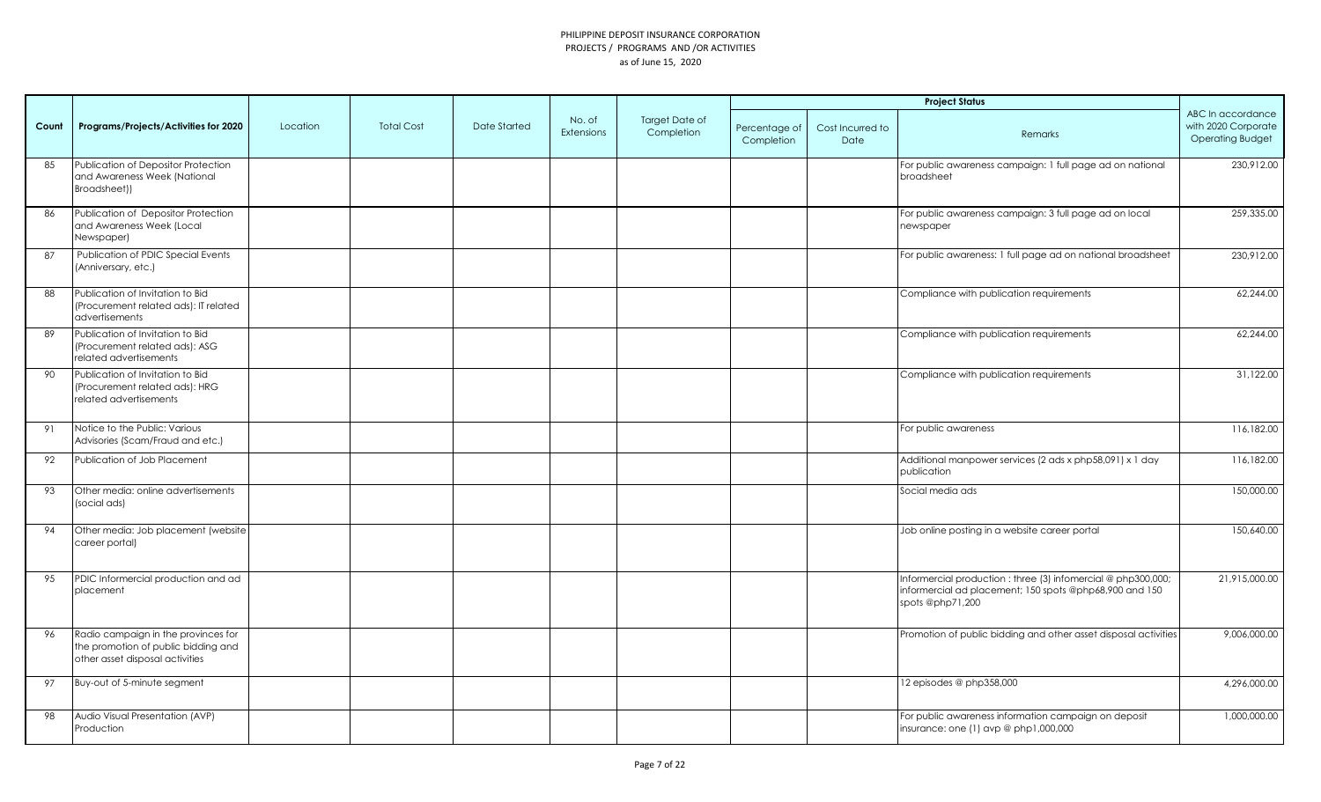|       |                                                                                                               |          |                   |                     |                             |                                     |                             |                          | <b>Project Status</b>                                                                                                                        |                                                                     |
|-------|---------------------------------------------------------------------------------------------------------------|----------|-------------------|---------------------|-----------------------------|-------------------------------------|-----------------------------|--------------------------|----------------------------------------------------------------------------------------------------------------------------------------------|---------------------------------------------------------------------|
| Count | Programs/Projects/Activities for 2020                                                                         | Location | <b>Total Cost</b> | <b>Date Started</b> | No. of<br><b>Extensions</b> | <b>Target Date of</b><br>Completion | Percentage of<br>Completion | Cost Incurred to<br>Date | Remarks                                                                                                                                      | ABC In accordance<br>with 2020 Corporate<br><b>Operating Budget</b> |
| 85    | Publication of Depositor Protection<br>and Awareness Week (National<br>Broadsheet))                           |          |                   |                     |                             |                                     |                             |                          | For public awareness campaign: 1 full page ad on national<br>broadsheet                                                                      | 230,912.00                                                          |
| 86    | Publication of Depositor Protection<br>and Awareness Week (Local<br>Newspaper)                                |          |                   |                     |                             |                                     |                             |                          | For public awareness campaign: 3 full page ad on local<br>newspaper                                                                          | 259,335.00                                                          |
| 87    | Publication of PDIC Special Events<br>(Anniversary, etc.)                                                     |          |                   |                     |                             |                                     |                             |                          | For public awareness: 1 full page ad on national broadsheet                                                                                  | 230,912.00                                                          |
| 88    | Publication of Invitation to Bid<br>(Procurement related ads): IT related<br>advertisements                   |          |                   |                     |                             |                                     |                             |                          | Compliance with publication requirements                                                                                                     | 62,244.00                                                           |
| 89    | Publication of Invitation to Bid<br>(Procurement related ads): ASG<br>related advertisements                  |          |                   |                     |                             |                                     |                             |                          | Compliance with publication requirements                                                                                                     | 62,244.00                                                           |
| 90    | Publication of Invitation to Bid<br>(Procurement related ads): HRG<br>related advertisements                  |          |                   |                     |                             |                                     |                             |                          | Compliance with publication requirements                                                                                                     | 31,122.00                                                           |
| 91    | Notice to the Public: Various<br>Advisories (Scam/Fraud and etc.)                                             |          |                   |                     |                             |                                     |                             |                          | For public awareness                                                                                                                         | 116,182.00                                                          |
| 92    | Publication of Job Placement                                                                                  |          |                   |                     |                             |                                     |                             |                          | Additional manpower services (2 ads x php58,091) x 1 day<br>publication                                                                      | 116,182.00                                                          |
| 93    | Other media: online advertisements<br>(social ads)                                                            |          |                   |                     |                             |                                     |                             |                          | Social media ads                                                                                                                             | 150,000.00                                                          |
| 94    | Other media: Job placement (website<br>career portal)                                                         |          |                   |                     |                             |                                     |                             |                          | Job online posting in a website career portal                                                                                                | 150,640.00                                                          |
| 95    | PDIC Informercial production and ad<br>placement                                                              |          |                   |                     |                             |                                     |                             |                          | Informercial production : three (3) infomercial @ php300,000;<br>informercial ad placement; 150 spots @php68,900 and 150<br>spots @php71,200 | 21,915,000.00                                                       |
| 96    | Radio campaign in the provinces for<br>the promotion of public bidding and<br>other asset disposal activities |          |                   |                     |                             |                                     |                             |                          | Promotion of public bidding and other asset disposal activities                                                                              | 9,006,000.00                                                        |
| 97    | Buy-out of 5-minute segment                                                                                   |          |                   |                     |                             |                                     |                             |                          | 12 episodes @ php358,000                                                                                                                     | 4,296,000.00                                                        |
| 98    | Audio Visual Presentation (AVP)<br>Production                                                                 |          |                   |                     |                             |                                     |                             |                          | For public awareness information campaign on deposit<br>insurance: one (1) avp @ php1,000,000                                                | 1,000,000.00                                                        |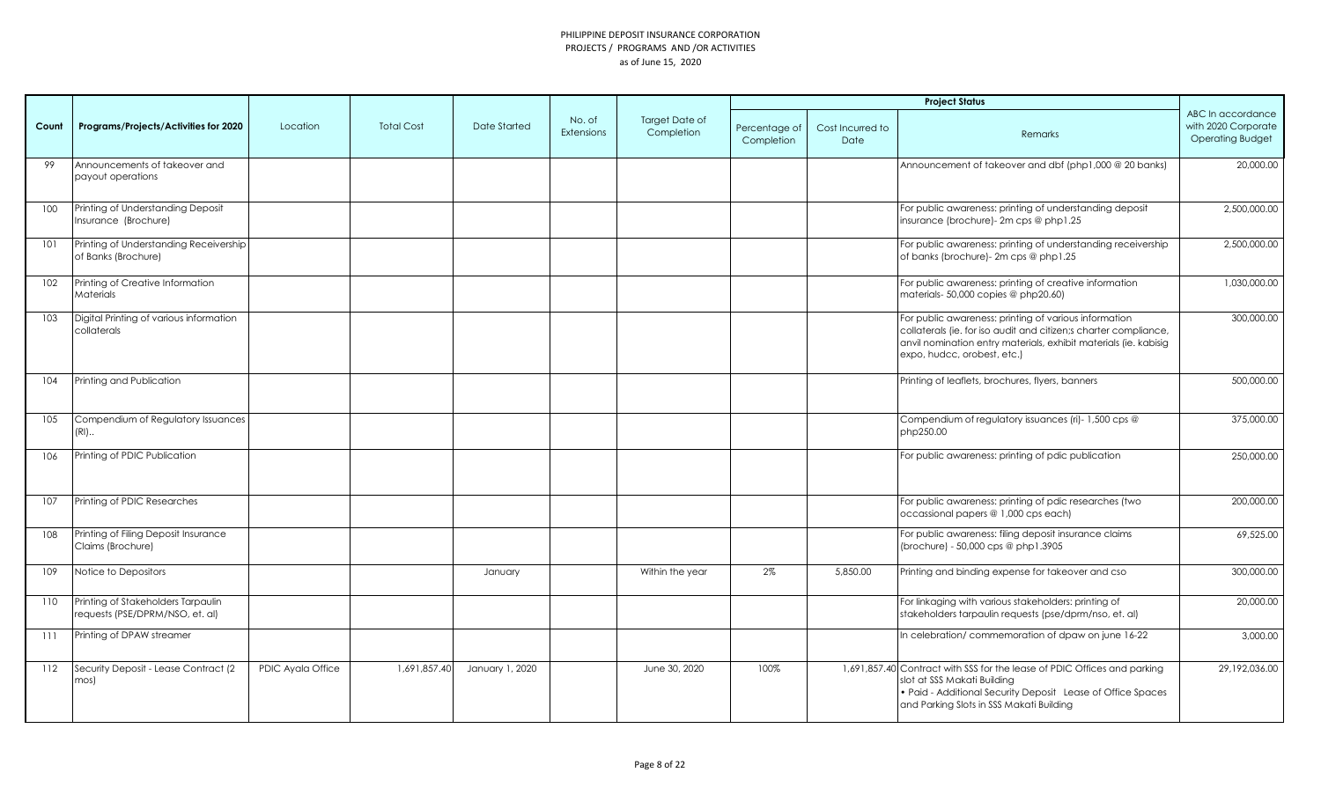|       |                                                                       |                   |                   |                 |                      |                                     |                             |                          | <b>Project Status</b>                                                                                                                                                                                                        |                                                                     |
|-------|-----------------------------------------------------------------------|-------------------|-------------------|-----------------|----------------------|-------------------------------------|-----------------------------|--------------------------|------------------------------------------------------------------------------------------------------------------------------------------------------------------------------------------------------------------------------|---------------------------------------------------------------------|
| Count | Programs/Projects/Activities for 2020                                 | Location          | <b>Total Cost</b> | Date Started    | No. of<br>Extensions | <b>Target Date of</b><br>Completion | Percentage of<br>Completion | Cost Incurred to<br>Date | Remarks                                                                                                                                                                                                                      | ABC In accordance<br>with 2020 Corporate<br><b>Operating Budget</b> |
| 99    | Announcements of takeover and<br>payout operations                    |                   |                   |                 |                      |                                     |                             |                          | Announcement of takeover and dbf (php1,000 @ 20 banks)                                                                                                                                                                       | 20,000.00                                                           |
| 100   | Printing of Understanding Deposit<br>Insurance (Brochure)             |                   |                   |                 |                      |                                     |                             |                          | For public awareness: printing of understanding deposit<br>insurance (brochure)- 2m cps @ php1.25                                                                                                                            | 2,500,000.00                                                        |
| 101   | Printing of Understanding Receivership<br>of Banks (Brochure)         |                   |                   |                 |                      |                                     |                             |                          | For public awareness: printing of understanding receivership<br>of banks (brochure)- 2m cps @ php1.25                                                                                                                        | 2,500,000.00                                                        |
| 102   | Printing of Creative Information<br>Materials                         |                   |                   |                 |                      |                                     |                             |                          | For public awareness: printing of creative information<br>materials- 50,000 copies @ php20.60)                                                                                                                               | 1,030,000.00                                                        |
| 103   | Digital Printing of various information<br>collaterals                |                   |                   |                 |                      |                                     |                             |                          | For public awareness: printing of various information<br>collaterals (ie. for iso audit and citizen;s charter compliance,<br>anvil nomination entry materials, exhibit materials (ie. kabisig<br>expo, hudcc, orobest, etc.) | 300,000.00                                                          |
| 104   | Printing and Publication                                              |                   |                   |                 |                      |                                     |                             |                          | Printing of leaflets, brochures, flyers, banners                                                                                                                                                                             | 500,000.00                                                          |
| 105   | Compendium of Regulatory Issuances<br>$(RI)$                          |                   |                   |                 |                      |                                     |                             |                          | Compendium of regulatory issuances (ri)- 1,500 cps @<br>php250.00                                                                                                                                                            | 375,000.00                                                          |
| 106   | Printing of PDIC Publication                                          |                   |                   |                 |                      |                                     |                             |                          | For public awareness: printing of pdic publication                                                                                                                                                                           | 250,000.00                                                          |
| 107   | Printing of PDIC Researches                                           |                   |                   |                 |                      |                                     |                             |                          | For public awareness: printing of pdic researches (two<br>occassional papers @ 1,000 cps each)                                                                                                                               | 200,000.00                                                          |
| 108   | Printing of Filing Deposit Insurance<br>Claims (Brochure)             |                   |                   |                 |                      |                                     |                             |                          | For public awareness: filing deposit insurance claims<br>(brochure) - 50,000 cps @ php1.3905                                                                                                                                 | 69,525.00                                                           |
| 109   | Notice to Depositors                                                  |                   |                   | January         |                      | Within the year                     | 2%                          | 5,850.00                 | Printing and binding expense for takeover and cso                                                                                                                                                                            | 300,000.00                                                          |
| 110   | Printing of Stakeholders Tarpaulin<br>requests (PSE/DPRM/NSO, et. al) |                   |                   |                 |                      |                                     |                             |                          | For linkaging with various stakeholders: printing of<br>stakeholders tarpaulin requests (pse/dprm/nso, et. al)                                                                                                               | 20,000.00                                                           |
| 111   | Printing of DPAW streamer                                             |                   |                   |                 |                      |                                     |                             |                          | In celebration/ commemoration of dpaw on june 16-22                                                                                                                                                                          | 3,000.00                                                            |
| 112   | Security Deposit - Lease Contract (2<br>mos)                          | PDIC Ayala Office | 1,691,857.40      | January 1, 2020 |                      | June 30, 2020                       | 100%                        |                          | 1,691,857.40 Contract with SSS for the lease of PDIC Offices and parking<br>slot at SSS Makati Building<br>. Paid - Additional Security Deposit Lease of Office Spaces<br>and Parking Slots in SSS Makati Building           | 29,192,036.00                                                       |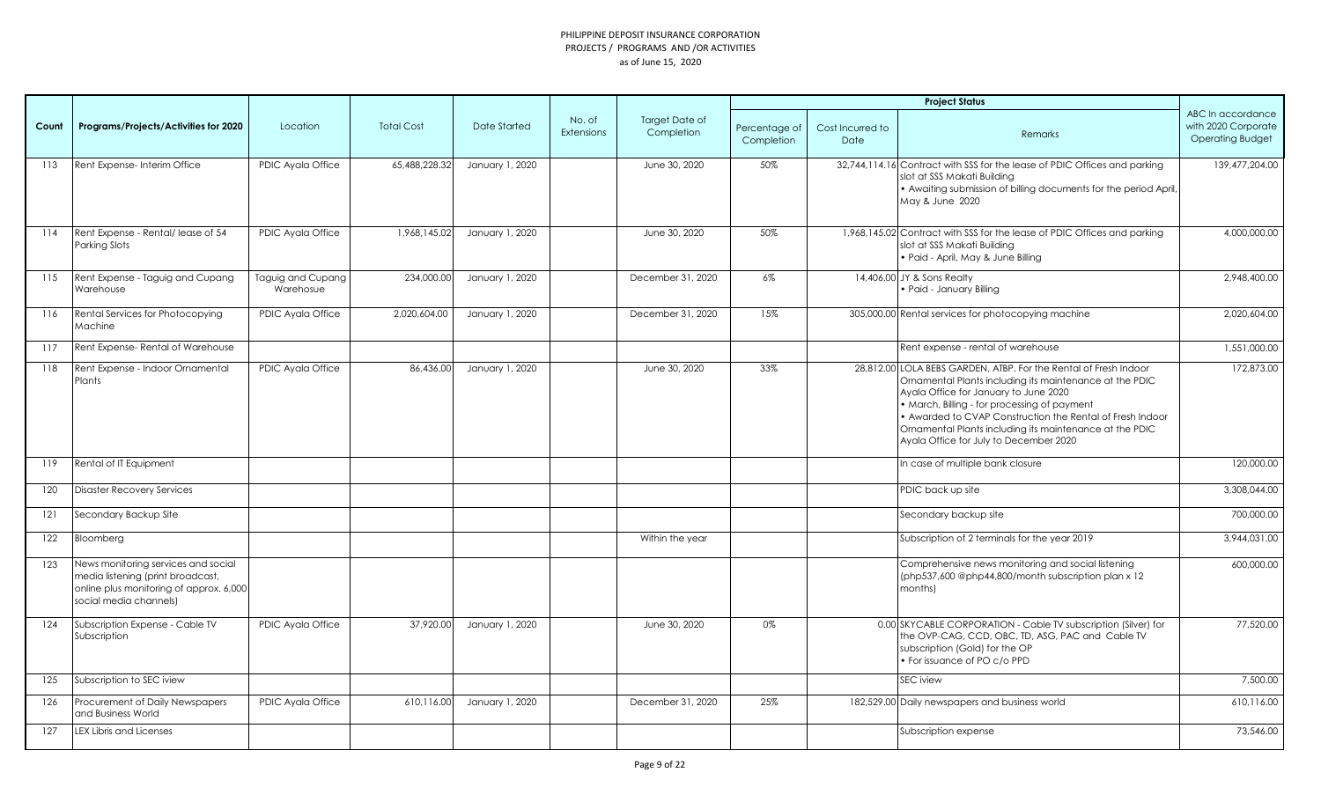|       |                                                                                                                                               |                                |                   |                     |                      |                                     |                             |                          | <b>Project Status</b>                                                                                                                                                                                                                                                                                                                                                                  |                                                                     |
|-------|-----------------------------------------------------------------------------------------------------------------------------------------------|--------------------------------|-------------------|---------------------|----------------------|-------------------------------------|-----------------------------|--------------------------|----------------------------------------------------------------------------------------------------------------------------------------------------------------------------------------------------------------------------------------------------------------------------------------------------------------------------------------------------------------------------------------|---------------------------------------------------------------------|
| Count | Programs/Projects/Activities for 2020                                                                                                         | Location                       | <b>Total Cost</b> | <b>Date Started</b> | No. of<br>Extensions | <b>Target Date of</b><br>Completion | Percentage of<br>Completion | Cost Incurred to<br>Date | Remarks                                                                                                                                                                                                                                                                                                                                                                                | ABC In accordance<br>with 2020 Corporate<br><b>Operating Budget</b> |
| 113   | Rent Expense- Interim Office                                                                                                                  | PDIC Ayala Office              | 65,488,228.32     | January 1, 2020     |                      | June 30, 2020                       | 50%                         |                          | 32,744,114.16 Contract with SSS for the lease of PDIC Offices and parking<br>slot at SSS Makati Building<br>• Awaiting submission of billing documents for the period April,<br>May & June 2020                                                                                                                                                                                        | 139,477,204.00                                                      |
| 114   | Rent Expense - Rental/ lease of 54<br>Parking Slots                                                                                           | PDIC Ayala Office              | 1,968,145.02      | January 1, 2020     |                      | June 30, 2020                       | 50%                         |                          | 1,968,145.02 Contract with SSS for the lease of PDIC Offices and parking<br>slot at SSS Makati Building<br>· Paid - April, May & June Billing                                                                                                                                                                                                                                          | 4,000,000.00                                                        |
| 115   | Rent Expense - Taguig and Cupang<br>Warehouse                                                                                                 | Taguig and Cupang<br>Warehosue | 234,000.00        | January 1, 2020     |                      | December 31, 2020                   | $6\%$                       |                          | 14,406,00 JY & Sons Realty<br>· Paid - January Billing                                                                                                                                                                                                                                                                                                                                 | 2.948.400.00                                                        |
| 116   | Rental Services for Photocopying<br>Machine                                                                                                   | PDIC Ayala Office              | 2,020,604.00      | January 1, 2020     |                      | December 31, 2020                   | 15%                         |                          | 305,000.00 Rental services for photocopying machine                                                                                                                                                                                                                                                                                                                                    | 2,020,604.00                                                        |
| 117   | Rent Expense-Rental of Warehouse                                                                                                              |                                |                   |                     |                      |                                     |                             |                          | Rent expense - rental of warehouse                                                                                                                                                                                                                                                                                                                                                     | 1,551,000.00                                                        |
| 118   | Rent Expense - Indoor Ornamental<br>Plants                                                                                                    | PDIC Ayala Office              | 86,436.00         | January 1, 2020     |                      | June 30, 2020                       | 33%                         |                          | 28,812.00 LOLA BEBS GARDEN, ATBP. For the Rental of Fresh Indoor<br>Ornamental Plants including its maintenance at the PDIC<br>Ayala Office for January to June 2020<br>• March, Billing - for processing of payment<br>• Awarded to CVAP Construction the Rental of Fresh Indoor<br>Ornamental Plants including its maintenance at the PDIC<br>Ayala Office for July to December 2020 | 172,873.00                                                          |
| 119   | Rental of IT Equipment                                                                                                                        |                                |                   |                     |                      |                                     |                             |                          | In case of multiple bank closure                                                                                                                                                                                                                                                                                                                                                       | 120,000.00                                                          |
| 120   | <b>Disaster Recovery Services</b>                                                                                                             |                                |                   |                     |                      |                                     |                             |                          | PDIC back up site                                                                                                                                                                                                                                                                                                                                                                      | 3,308,044.00                                                        |
| 121   | Secondary Backup Site                                                                                                                         |                                |                   |                     |                      |                                     |                             |                          | Secondary backup site                                                                                                                                                                                                                                                                                                                                                                  | 700,000.00                                                          |
| 122   | Bloomberg                                                                                                                                     |                                |                   |                     |                      | Within the year                     |                             |                          | Subscription of 2 terminals for the year 2019                                                                                                                                                                                                                                                                                                                                          | 3,944,031.00                                                        |
| 123   | News monitoring services and social<br>media listening (print broadcast,<br>online plus monitoring of approx. 6,000<br>social media channels) |                                |                   |                     |                      |                                     |                             |                          | Comprehensive news monitoring and social listening<br>(php537,600 @php44,800/month subscription plan x 12)<br>months)                                                                                                                                                                                                                                                                  | 600.000.00                                                          |
| 124   | Subscription Expense - Cable TV<br>Subscription                                                                                               | PDIC Ayala Office              | 37,920.00         | January 1, 2020     |                      | June 30, 2020                       | 0%                          |                          | 0.00 SKYCABLE CORPORATION - Cable TV subscription (Silver) for<br>the OVP-CAG, CCD, OBC, TD, ASG, PAC and Cable TV<br>subscription (Gold) for the OP<br>• For issuance of PO c/o PPD                                                                                                                                                                                                   | 77,520.00                                                           |
| 125   | Subscription to SEC iview                                                                                                                     |                                |                   |                     |                      |                                     |                             |                          | <b>SEC</b> iview                                                                                                                                                                                                                                                                                                                                                                       | 7,500.00                                                            |
| 126   | Procurement of Daily Newspapers<br>and Business World                                                                                         | PDIC Ayala Office              | 610,116.00        | January 1, 2020     |                      | December 31, 2020                   | 25%                         |                          | 182,529.00 Daily newspapers and business world                                                                                                                                                                                                                                                                                                                                         | 610,116.00                                                          |
| 127   | LEX Libris and Licenses                                                                                                                       |                                |                   |                     |                      |                                     |                             |                          | Subscription expense                                                                                                                                                                                                                                                                                                                                                                   | 73,546.00                                                           |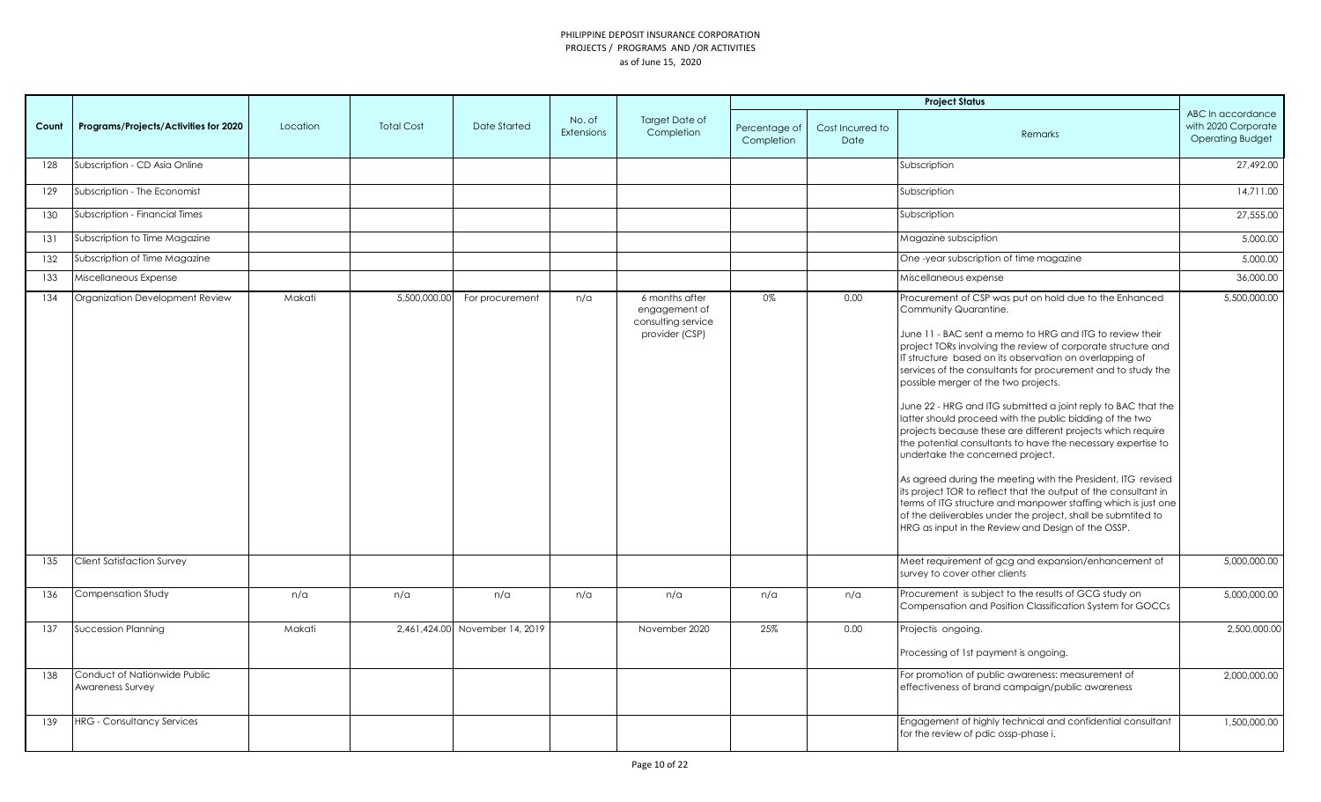|       |                                                  |          |                   |                                |                             |                                                                         |                             |                          | <b>Project Status</b>                                                                                                                                                                                                                                                                                                                                                                                                                                                                                                                                                                                                                                                                                                                                                                                                                                                                                                                                                                                     |                                                                     |
|-------|--------------------------------------------------|----------|-------------------|--------------------------------|-----------------------------|-------------------------------------------------------------------------|-----------------------------|--------------------------|-----------------------------------------------------------------------------------------------------------------------------------------------------------------------------------------------------------------------------------------------------------------------------------------------------------------------------------------------------------------------------------------------------------------------------------------------------------------------------------------------------------------------------------------------------------------------------------------------------------------------------------------------------------------------------------------------------------------------------------------------------------------------------------------------------------------------------------------------------------------------------------------------------------------------------------------------------------------------------------------------------------|---------------------------------------------------------------------|
| Count | Programs/Projects/Activities for 2020            | Location | <b>Total Cost</b> | Date Started                   | No. of<br><b>Extensions</b> | Target Date of<br>Completion                                            | Percentage of<br>Completion | Cost Incurred to<br>Date | Remarks                                                                                                                                                                                                                                                                                                                                                                                                                                                                                                                                                                                                                                                                                                                                                                                                                                                                                                                                                                                                   | ABC In accordance<br>with 2020 Corporate<br><b>Operating Budget</b> |
| 128   | Subscription - CD Asia Online                    |          |                   |                                |                             |                                                                         |                             |                          | Subscription                                                                                                                                                                                                                                                                                                                                                                                                                                                                                                                                                                                                                                                                                                                                                                                                                                                                                                                                                                                              | 27,492.00                                                           |
| 129   | Subscription - The Economist                     |          |                   |                                |                             |                                                                         |                             |                          | Subscription                                                                                                                                                                                                                                                                                                                                                                                                                                                                                                                                                                                                                                                                                                                                                                                                                                                                                                                                                                                              | 14,711.00                                                           |
| 130   | Subscription - Financial Times                   |          |                   |                                |                             |                                                                         |                             |                          | Subscription                                                                                                                                                                                                                                                                                                                                                                                                                                                                                                                                                                                                                                                                                                                                                                                                                                                                                                                                                                                              | 27,555.00                                                           |
| 131   | Subscription to Time Magazine                    |          |                   |                                |                             |                                                                         |                             |                          | Magazine subsciption                                                                                                                                                                                                                                                                                                                                                                                                                                                                                                                                                                                                                                                                                                                                                                                                                                                                                                                                                                                      | 5,000.00                                                            |
| 132   | Subscription of Time Magazine                    |          |                   |                                |                             |                                                                         |                             |                          | One-year subscription of time magazine                                                                                                                                                                                                                                                                                                                                                                                                                                                                                                                                                                                                                                                                                                                                                                                                                                                                                                                                                                    | 5,000.00                                                            |
| 133   | Miscellaneous Expense                            |          |                   |                                |                             |                                                                         |                             |                          | Miscellaneous expense                                                                                                                                                                                                                                                                                                                                                                                                                                                                                                                                                                                                                                                                                                                                                                                                                                                                                                                                                                                     | 36,000.00                                                           |
| 134   | Organization Development Review                  | Makati   | 5,500,000.00      | For procurement                | n/a                         | 6 months after<br>engagement of<br>consulting service<br>provider (CSP) | 0%                          | 0.00                     | Procurement of CSP was put on hold due to the Enhanced<br>Community Quarantine.<br>June 11 - BAC sent a memo to HRG and ITG to review their<br>project TORs involving the review of corporate structure and<br>IT structure based on its observation on overlapping of<br>services of the consultants for procurement and to study the<br>possible merger of the two projects.<br>June 22 - HRG and ITG submitted a joint reply to BAC that the<br>latter should proceed with the public bidding of the two<br>projects because these are different projects which require<br>the potential consultants to have the necessary expertise to<br>undertake the concerned project.<br>As agreed during the meeting with the President, ITG revised<br>its project TOR to reflect that the output of the consultant in<br>terms of ITG structure and manpower staffing which is just one<br>of the deliverables under the project, shall be submtited to<br>HRG as input in the Review and Design of the OSSP. | 5,500,000.00                                                        |
| 135   | <b>Client Satisfaction Survey</b>                |          |                   |                                |                             |                                                                         |                             |                          | Meet requirement of gcg and expansion/enhancement of<br>survey to cover other clients                                                                                                                                                                                                                                                                                                                                                                                                                                                                                                                                                                                                                                                                                                                                                                                                                                                                                                                     | 5,000,000.00                                                        |
| 136   | Compensation Study                               | n/a      | n/a               | n/a                            | n/a                         | n/a                                                                     | n/a                         | n/a                      | Procurement is subject to the results of GCG study on<br>Compensation and Position Classification System for GOCCs                                                                                                                                                                                                                                                                                                                                                                                                                                                                                                                                                                                                                                                                                                                                                                                                                                                                                        | 5,000,000.00                                                        |
| 137   | Succession Planning                              | Makati   |                   | 2,461,424.00 November 14, 2019 |                             | November 2020                                                           | 25%                         | 0.00                     | Projectis ongoing.                                                                                                                                                                                                                                                                                                                                                                                                                                                                                                                                                                                                                                                                                                                                                                                                                                                                                                                                                                                        | 2,500,000.00                                                        |
|       |                                                  |          |                   |                                |                             |                                                                         |                             |                          | Processing of 1st payment is ongoing.                                                                                                                                                                                                                                                                                                                                                                                                                                                                                                                                                                                                                                                                                                                                                                                                                                                                                                                                                                     |                                                                     |
| 138   | Conduct of Nationwide Public<br>Awareness Survey |          |                   |                                |                             |                                                                         |                             |                          | For promotion of public awareness: measurement of<br>effectiveness of brand campaign/public awareness                                                                                                                                                                                                                                                                                                                                                                                                                                                                                                                                                                                                                                                                                                                                                                                                                                                                                                     | 2,000,000.00                                                        |
| 139   | <b>HRG</b> - Consultancy Services                |          |                   |                                |                             |                                                                         |                             |                          | Engagement of highly technical and confidential consultant<br>for the review of pdic ossp-phase i.                                                                                                                                                                                                                                                                                                                                                                                                                                                                                                                                                                                                                                                                                                                                                                                                                                                                                                        | 1,500,000.00                                                        |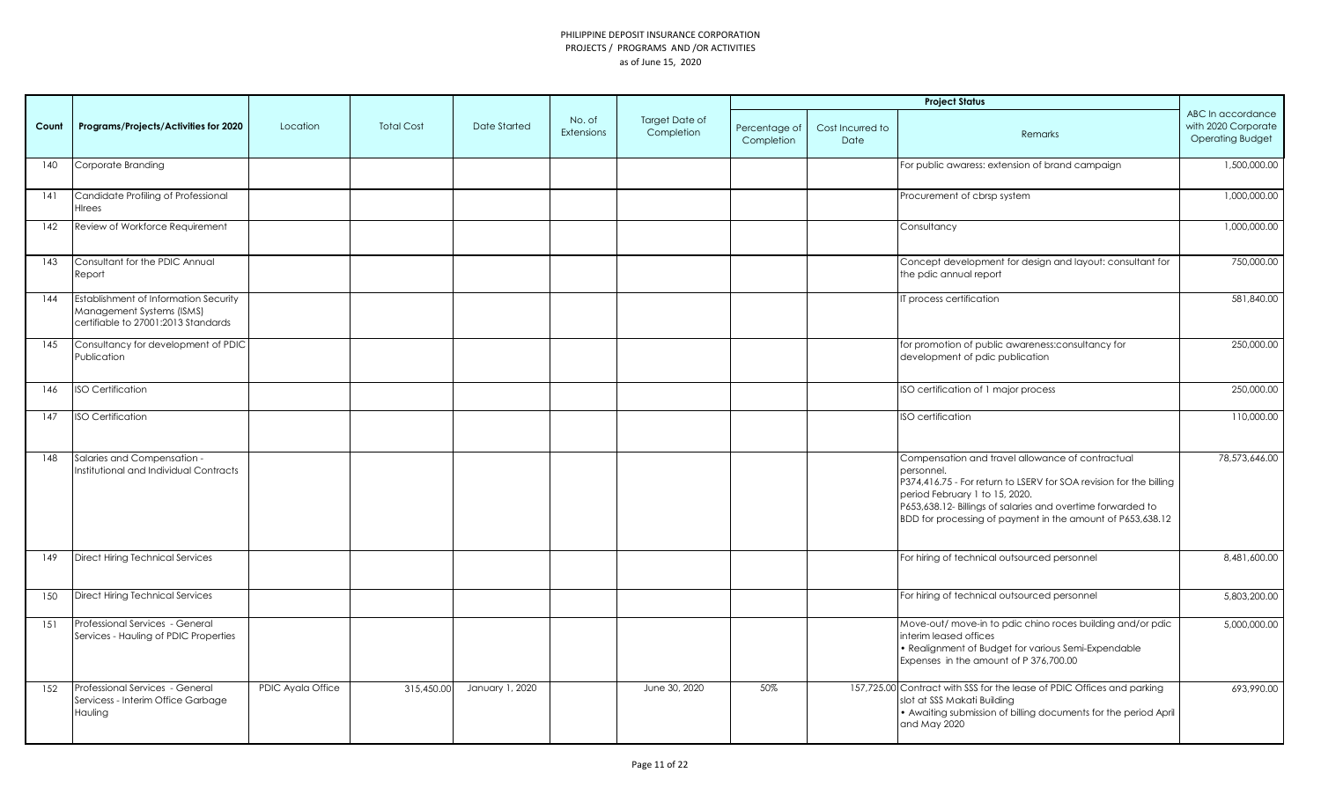|       |                                                                                                           |                   |                   |                 |                      |                                     |                             |                          | <b>Project Status</b>                                                                                                                                                                                                                                                                               |                                                                     |
|-------|-----------------------------------------------------------------------------------------------------------|-------------------|-------------------|-----------------|----------------------|-------------------------------------|-----------------------------|--------------------------|-----------------------------------------------------------------------------------------------------------------------------------------------------------------------------------------------------------------------------------------------------------------------------------------------------|---------------------------------------------------------------------|
| Count | Programs/Projects/Activities for 2020                                                                     | Location          | <b>Total Cost</b> | Date Started    | No. of<br>Extensions | <b>Target Date of</b><br>Completion | Percentage of<br>Completion | Cost Incurred to<br>Date | Remarks                                                                                                                                                                                                                                                                                             | ABC In accordance<br>with 2020 Corporate<br><b>Operating Budget</b> |
| 140   | Corporate Branding                                                                                        |                   |                   |                 |                      |                                     |                             |                          | For public awaress: extension of brand campaign                                                                                                                                                                                                                                                     | 1,500,000.00                                                        |
| 141   | Candidate Profiling of Professional<br><b>H</b> Irees                                                     |                   |                   |                 |                      |                                     |                             |                          | Procurement of cbrsp system                                                                                                                                                                                                                                                                         | 1,000,000.00                                                        |
| 142   | Review of Workforce Requirement                                                                           |                   |                   |                 |                      |                                     |                             |                          | Consultancy                                                                                                                                                                                                                                                                                         | 1,000,000.00                                                        |
| 143   | Consultant for the PDIC Annual<br>Report                                                                  |                   |                   |                 |                      |                                     |                             |                          | Concept development for design and layout: consultant for<br>the pdic annual report                                                                                                                                                                                                                 | 750,000.00                                                          |
| 144   | Establishment of Information Security<br>Management Systems (ISMS)<br>certifiable to 27001:2013 Standards |                   |                   |                 |                      |                                     |                             |                          | IT process certification                                                                                                                                                                                                                                                                            | 581,840.00                                                          |
| 145   | Consultancy for development of PDIC<br>Publication                                                        |                   |                   |                 |                      |                                     |                             |                          | for promotion of public awareness: consultancy for<br>development of pdic publication                                                                                                                                                                                                               | 250,000.00                                                          |
| 146   | <b>ISO Certification</b>                                                                                  |                   |                   |                 |                      |                                     |                             |                          | ISO certification of 1 major process                                                                                                                                                                                                                                                                | 250,000.00                                                          |
| 147   | <b>ISO Certification</b>                                                                                  |                   |                   |                 |                      |                                     |                             |                          | ISO certification                                                                                                                                                                                                                                                                                   | 110,000.00                                                          |
| 148   | Salaries and Compensation -<br>Institutional and Individual Contracts                                     |                   |                   |                 |                      |                                     |                             |                          | Compensation and travel allowance of contractual<br>personnel.<br>P374,416.75 - For return to LSERV for SOA revision for the billing<br>period February 1 to 15, 2020.<br>P653,638.12- Billings of salaries and overtime forwarded to<br>BDD for processing of payment in the amount of P653,638.12 | 78,573,646.00                                                       |
| 149   | <b>Direct Hiring Technical Services</b>                                                                   |                   |                   |                 |                      |                                     |                             |                          | For hiring of technical outsourced personnel                                                                                                                                                                                                                                                        | 8,481,600.00                                                        |
| 150   | <b>Direct Hiring Technical Services</b>                                                                   |                   |                   |                 |                      |                                     |                             |                          | For hiring of technical outsourced personnel                                                                                                                                                                                                                                                        | 5,803,200.00                                                        |
| 151   | Professional Services - General<br>Services - Hauling of PDIC Properties                                  |                   |                   |                 |                      |                                     |                             |                          | Move-out/ move-in to pdic chino roces building and/or pdic<br>interim leased offices<br>• Realignment of Budget for various Semi-Expendable<br>Expenses in the amount of P 376,700.00                                                                                                               | 5,000,000.00                                                        |
| 152   | Professional Services - General<br>Servicess - Interim Office Garbage<br>Hauling                          | PDIC Ayala Office | 315,450.00        | January 1, 2020 |                      | June 30, 2020                       | 50%                         |                          | 157,725.00 Contract with SSS for the lease of PDIC Offices and parking<br>slot at SSS Makati Building<br>• Awaiting submission of billing documents for the period April<br>and May 2020                                                                                                            | 693,990.00                                                          |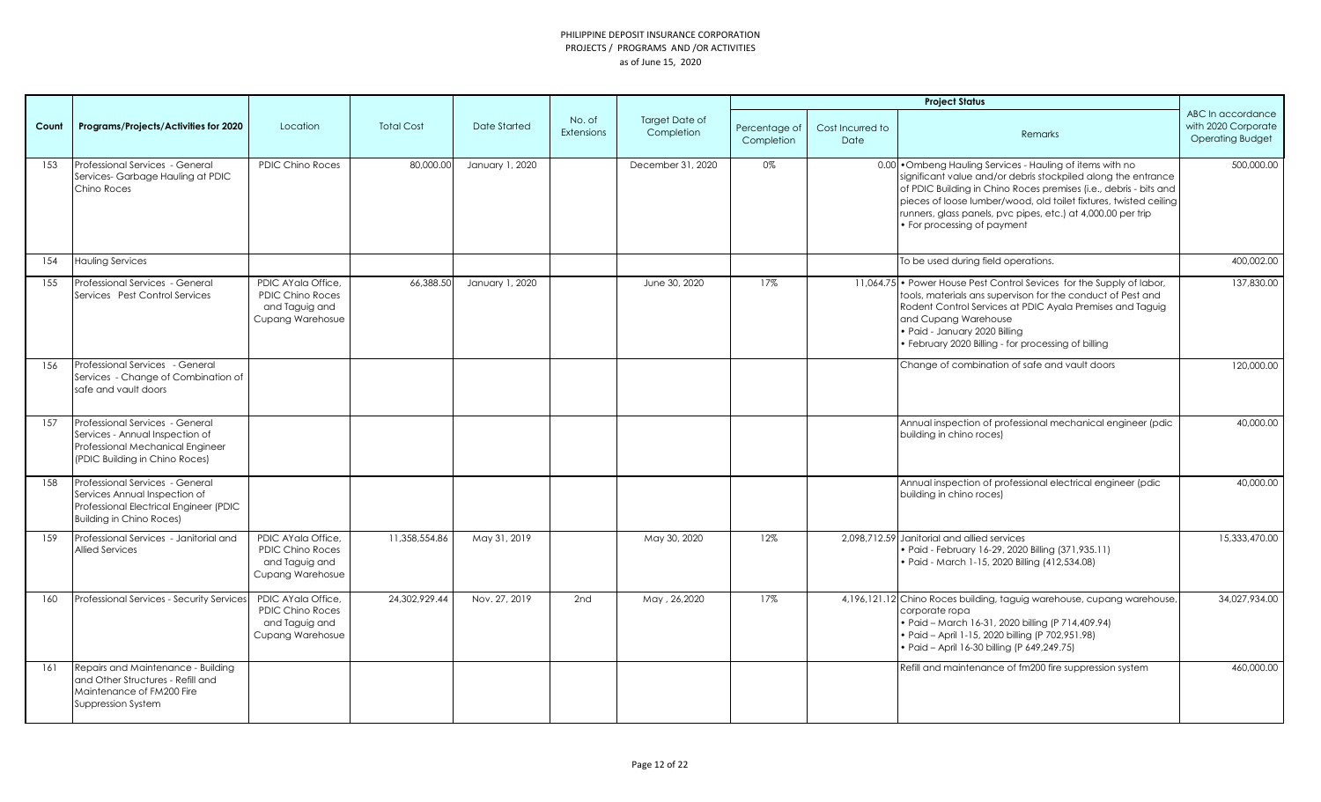|       |                                                                                                                                               |                                                                                            |                   |                     |                             |                                     |                             |                          | <b>Project Status</b>                                                                                                                                                                                                                                                                                                                                               |                                                                     |
|-------|-----------------------------------------------------------------------------------------------------------------------------------------------|--------------------------------------------------------------------------------------------|-------------------|---------------------|-----------------------------|-------------------------------------|-----------------------------|--------------------------|---------------------------------------------------------------------------------------------------------------------------------------------------------------------------------------------------------------------------------------------------------------------------------------------------------------------------------------------------------------------|---------------------------------------------------------------------|
| Count | Programs/Projects/Activities for 2020                                                                                                         | Location                                                                                   | <b>Total Cost</b> | <b>Date Started</b> | No. of<br><b>Extensions</b> | <b>Target Date of</b><br>Completion | Percentage of<br>Completion | Cost Incurred to<br>Date | Remarks                                                                                                                                                                                                                                                                                                                                                             | ABC In accordance<br>with 2020 Corporate<br><b>Operating Budget</b> |
| 153   | Professional Services - General<br>Services-Garbage Hauling at PDIC<br>Chino Roces                                                            | <b>PDIC Chino Roces</b>                                                                    | 80,000.00         | January 1, 2020     |                             | December 31, 2020                   | 0%                          |                          | 0.00 . Ombeng Hauling Services - Hauling of items with no<br>significant value and/or debris stockpiled along the entrance<br>of PDIC Building in Chino Roces premises (i.e., debris - bits and<br>pieces of loose lumber/wood, old toilet fixtures, twisted ceiling<br>runners, glass panels, pvc pipes, etc.) at 4,000.00 per trip<br>• For processing of payment | 500,000.00                                                          |
| 154   | <b>Hauling Services</b>                                                                                                                       |                                                                                            |                   |                     |                             |                                     |                             |                          | To be used during field operations.                                                                                                                                                                                                                                                                                                                                 | 400,002.00                                                          |
| 155   | Professional Services - General<br>Services Pest Control Services                                                                             | PDIC AYala Office,<br><b>PDIC Chino Roces</b><br>and Taguig and<br>Cupang Warehosue        | 66,388.50         | January 1, 2020     |                             | June 30, 2020                       | 17%                         |                          | 11,064.75 • Power House Pest Control Sevices for the Supply of labor,<br>tools, materials ans supervison for the conduct of Pest and<br>Rodent Control Services at PDIC Ayala Premises and Taguig<br>and Cupang Warehouse<br>· Paid - January 2020 Billing<br>· February 2020 Billing - for processing of billing                                                   | 137,830.00                                                          |
| 156   | Professional Services - General<br>Services - Change of Combination of<br>safe and vault doors                                                |                                                                                            |                   |                     |                             |                                     |                             |                          | Change of combination of safe and vault doors                                                                                                                                                                                                                                                                                                                       | 120,000.00                                                          |
| 157   | Professional Services - General<br>Services - Annual Inspection of<br>Professional Mechanical Engineer<br>(PDIC Building in Chino Roces)      |                                                                                            |                   |                     |                             |                                     |                             |                          | Annual inspection of professional mechanical engineer (pdic<br>building in chino roces)                                                                                                                                                                                                                                                                             | 40,000.00                                                           |
| 158   | Professional Services - General<br>Services Annual Inspection of<br>Professional Electrical Engineer (PDIC<br><b>Building in Chino Roces)</b> |                                                                                            |                   |                     |                             |                                     |                             |                          | Annual inspection of professional electrical engineer (pdic<br>building in chino roces)                                                                                                                                                                                                                                                                             | 40,000.00                                                           |
| 159   | Professional Services - Janitorial and<br><b>Allied Services</b>                                                                              | PDIC AYala Office,<br><b>PDIC Chino Roces</b><br>and Taguig and<br><b>Cupang Warehosue</b> | 11,358,554.86     | May 31, 2019        |                             | May 30, 2020                        | 12%                         |                          | 2,098,712.59 Janitorial and allied services<br>· Paid - February 16-29, 2020 Billing (371,935.11)<br>· Paid - March 1-15, 2020 Billing (412,534.08)                                                                                                                                                                                                                 | 15,333,470.00                                                       |
| 160   | Professional Services - Security Services                                                                                                     | PDIC AYala Office,<br><b>PDIC Chino Roces</b><br>and Taguig and<br><b>Cupang Warehosue</b> | 24.302.929.44     | Nov. 27, 2019       | 2nd                         | May, 26,2020                        | 17%                         |                          | 4,196,121,12 Chino Roces building, taguig warehouse, cupang warehouse,<br>corporate ropa<br>· Paid - March 16-31, 2020 billing (P 714, 409.94)<br>· Paid - April 1-15, 2020 billing (P 702,951.98)<br>• Paid - April 16-30 billing (P 649,249.75)                                                                                                                   | 34,027,934.00                                                       |
| 161   | Repairs and Maintenance - Building<br>and Other Structures - Refill and<br>Maintenance of FM200 Fire<br>Suppression System                    |                                                                                            |                   |                     |                             |                                     |                             |                          | Refill and maintenance of fm200 fire suppression system                                                                                                                                                                                                                                                                                                             | 460,000.00                                                          |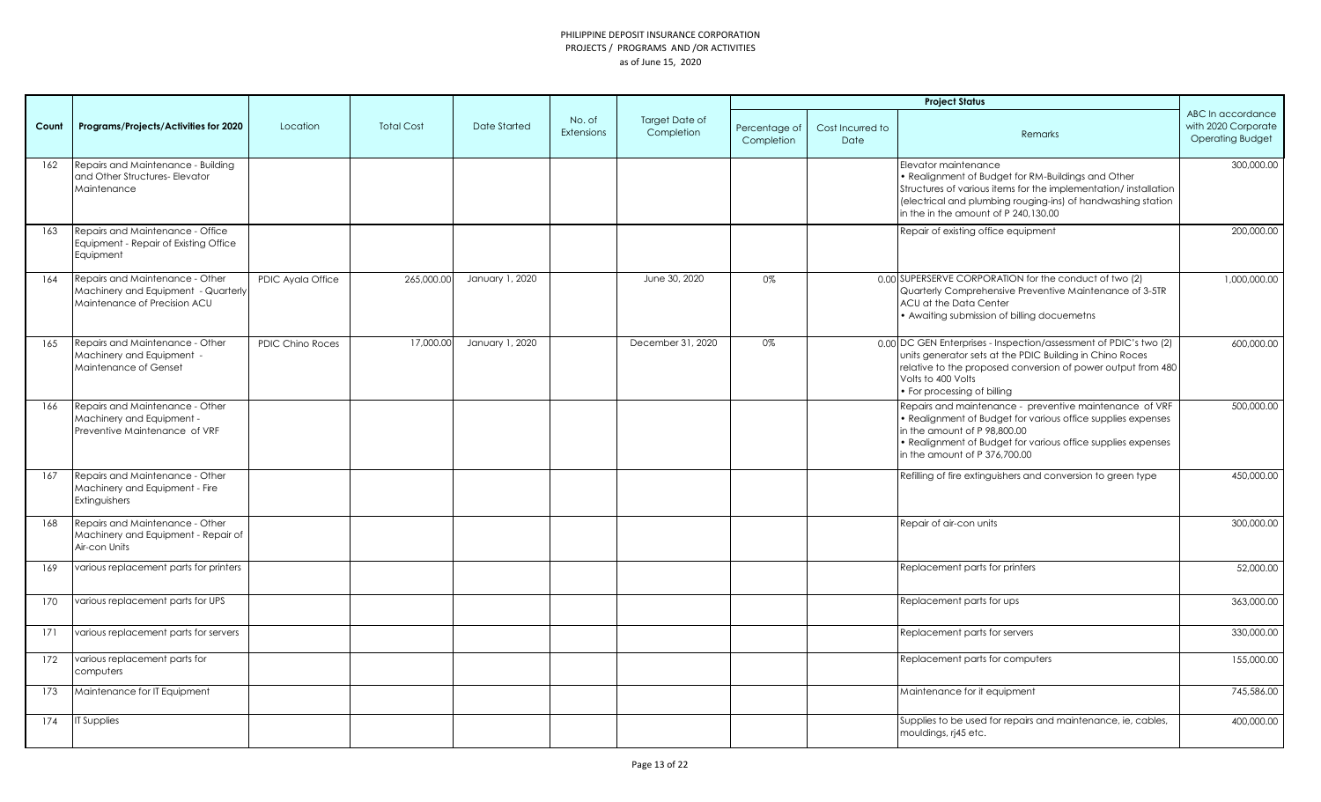|       |                                                                                                        |                         |                   |                 |                      |                              |                             |                          | <b>Project Status</b>                                                                                                                                                                                                                                    |                                                                     |
|-------|--------------------------------------------------------------------------------------------------------|-------------------------|-------------------|-----------------|----------------------|------------------------------|-----------------------------|--------------------------|----------------------------------------------------------------------------------------------------------------------------------------------------------------------------------------------------------------------------------------------------------|---------------------------------------------------------------------|
| Count | Programs/Projects/Activities for 2020                                                                  | Location                | <b>Total Cost</b> | Date Started    | No. of<br>Extensions | Target Date of<br>Completion | Percentage of<br>Completion | Cost Incurred to<br>Date | Remarks                                                                                                                                                                                                                                                  | ABC In accordance<br>with 2020 Corporate<br><b>Operating Budget</b> |
| 162   | Repairs and Maintenance - Building<br>and Other Structures- Elevator<br>Maintenance                    |                         |                   |                 |                      |                              |                             |                          | Elevator maintenance<br>. Realignment of Budget for RM-Buildings and Other<br>Structures of various items for the implementation/installation<br>(electrical and plumbing rouging-ins) of handwashing station<br>lin the in the amount of P 240.130.00   | 300,000.00                                                          |
| 163   | Repairs and Maintenance - Office<br>Equipment - Repair of Existing Office<br>Equipment                 |                         |                   |                 |                      |                              |                             |                          | Repair of existing office equipment                                                                                                                                                                                                                      | 200,000.00                                                          |
| 164   | Repairs and Maintenance - Other<br>Machinery and Equipment - Quarterly<br>Maintenance of Precision ACU | PDIC Ayala Office       | 265,000.00        | January 1, 2020 |                      | June 30, 2020                | 0%                          |                          | 0.00 SUPERSERVE CORPORATION for the conduct of two (2)<br>Quarterly Comprehensive Preventive Maintenance of 3-5TR<br>ACU at the Data Center<br>• Awaiting submission of billing docuemetns                                                               | 1,000,000.00                                                        |
| 165   | Repairs and Maintenance - Other<br>Machinery and Equipment -<br>Maintenance of Genset                  | <b>PDIC Chino Roces</b> | 17,000.00         | January 1, 2020 |                      | December 31, 2020            | 0%                          |                          | 0.00 DC GEN Enterprises - Inspection/assessment of PDIC's two (2)<br>units generator sets at the PDIC Building in Chino Roces<br>relative to the proposed conversion of power output from 480<br>Volts to 400 Volts<br>• For processing of billing       | 600,000.00                                                          |
| 166   | Repairs and Maintenance - Other<br>Machinery and Equipment -<br>Preventive Maintenance of VRF          |                         |                   |                 |                      |                              |                             |                          | Repairs and maintenance - preventive maintenance of VRF<br>• Realignment of Budget for various office supplies expenses<br>in the amount of P 98,800.00<br>• Realignment of Budget for various office supplies expenses<br>in the amount of P 376,700.00 | 500,000.00                                                          |
| 167   | Repairs and Maintenance - Other<br>Machinery and Equipment - Fire<br>Extinguishers                     |                         |                   |                 |                      |                              |                             |                          | Refilling of fire extinguishers and conversion to green type                                                                                                                                                                                             | 450,000.00                                                          |
| 168   | Repairs and Maintenance - Other<br>Machinery and Equipment - Repair of<br>Air-con Units                |                         |                   |                 |                      |                              |                             |                          | Repair of air-con units                                                                                                                                                                                                                                  | 300,000.00                                                          |
| 169   | various replacement parts for printers                                                                 |                         |                   |                 |                      |                              |                             |                          | Replacement parts for printers                                                                                                                                                                                                                           | 52,000.00                                                           |
| 170   | various replacement parts for UPS                                                                      |                         |                   |                 |                      |                              |                             |                          | Replacement parts for ups                                                                                                                                                                                                                                | 363,000.00                                                          |
| 171   | various replacement parts for servers                                                                  |                         |                   |                 |                      |                              |                             |                          | Replacement parts for servers                                                                                                                                                                                                                            | 330,000.00                                                          |
| 172   | various replacement parts for<br>computers                                                             |                         |                   |                 |                      |                              |                             |                          | Replacement parts for computers                                                                                                                                                                                                                          | 155,000.00                                                          |
| 173   | Maintenance for IT Equipment                                                                           |                         |                   |                 |                      |                              |                             |                          | Maintenance for it equipment                                                                                                                                                                                                                             | 745,586.00                                                          |
| 174   | <b>IT Supplies</b>                                                                                     |                         |                   |                 |                      |                              |                             |                          | Supplies to be used for repairs and maintenance, ie, cables,<br>mouldings, rj45 etc.                                                                                                                                                                     | 400,000.00                                                          |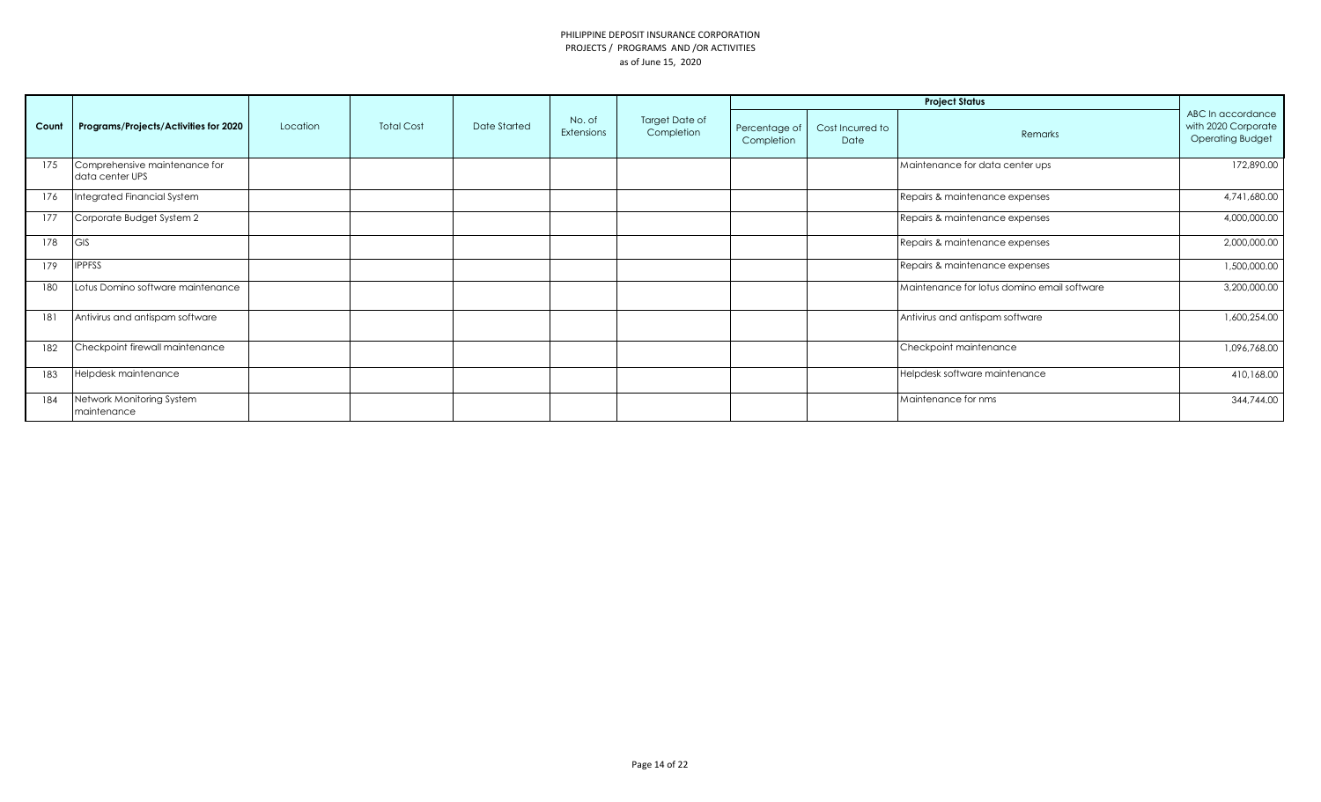|       |                                                  |          |                   |              |                      |                                     |                             |                          | <b>Project Status</b>                       | ABC In accordance<br>with 2020 Corporate<br><b>Operating Budget</b><br>172,890.00<br>4,741,680.00<br>4,000,000.00<br>2,000,000.00<br>1,500,000.00<br>3,200,000.00<br>1,600,254.00<br>1,096,768.00 |
|-------|--------------------------------------------------|----------|-------------------|--------------|----------------------|-------------------------------------|-----------------------------|--------------------------|---------------------------------------------|---------------------------------------------------------------------------------------------------------------------------------------------------------------------------------------------------|
| Count | Programs/Projects/Activities for 2020            | Location | <b>Total Cost</b> | Date Started | No. of<br>Extensions | <b>Target Date of</b><br>Completion | Percentage of<br>Completion | Cost Incurred to<br>Date | Remarks                                     |                                                                                                                                                                                                   |
| 175   | Comprehensive maintenance for<br>data center UPS |          |                   |              |                      |                                     |                             |                          | Maintenance for data center ups             |                                                                                                                                                                                                   |
| 176   | Integrated Financial System                      |          |                   |              |                      |                                     |                             |                          | Repairs & maintenance expenses              |                                                                                                                                                                                                   |
| 177   | Corporate Budget System 2                        |          |                   |              |                      |                                     |                             |                          | Repairs & maintenance expenses              |                                                                                                                                                                                                   |
| 178   | <b>GIS</b>                                       |          |                   |              |                      |                                     |                             |                          | Repairs & maintenance expenses              |                                                                                                                                                                                                   |
| 179   | <b>IPPFSS</b>                                    |          |                   |              |                      |                                     |                             |                          | Repairs & maintenance expenses              |                                                                                                                                                                                                   |
| 180   | Lotus Domino software maintenance                |          |                   |              |                      |                                     |                             |                          | Maintenance for lotus domino email software |                                                                                                                                                                                                   |
| 181   | Antivirus and antispam software                  |          |                   |              |                      |                                     |                             |                          | Antivirus and antispam software             |                                                                                                                                                                                                   |
| 182   | Checkpoint firewall maintenance                  |          |                   |              |                      |                                     |                             |                          | Checkpoint maintenance                      |                                                                                                                                                                                                   |
| 183   | Helpdesk maintenance                             |          |                   |              |                      |                                     |                             |                          | Helpdesk software maintenance               | 410,168.00                                                                                                                                                                                        |
| 184   | Network Monitoring System<br>maintenance         |          |                   |              |                      |                                     |                             |                          | Maintenance for nms                         | 344,744.00                                                                                                                                                                                        |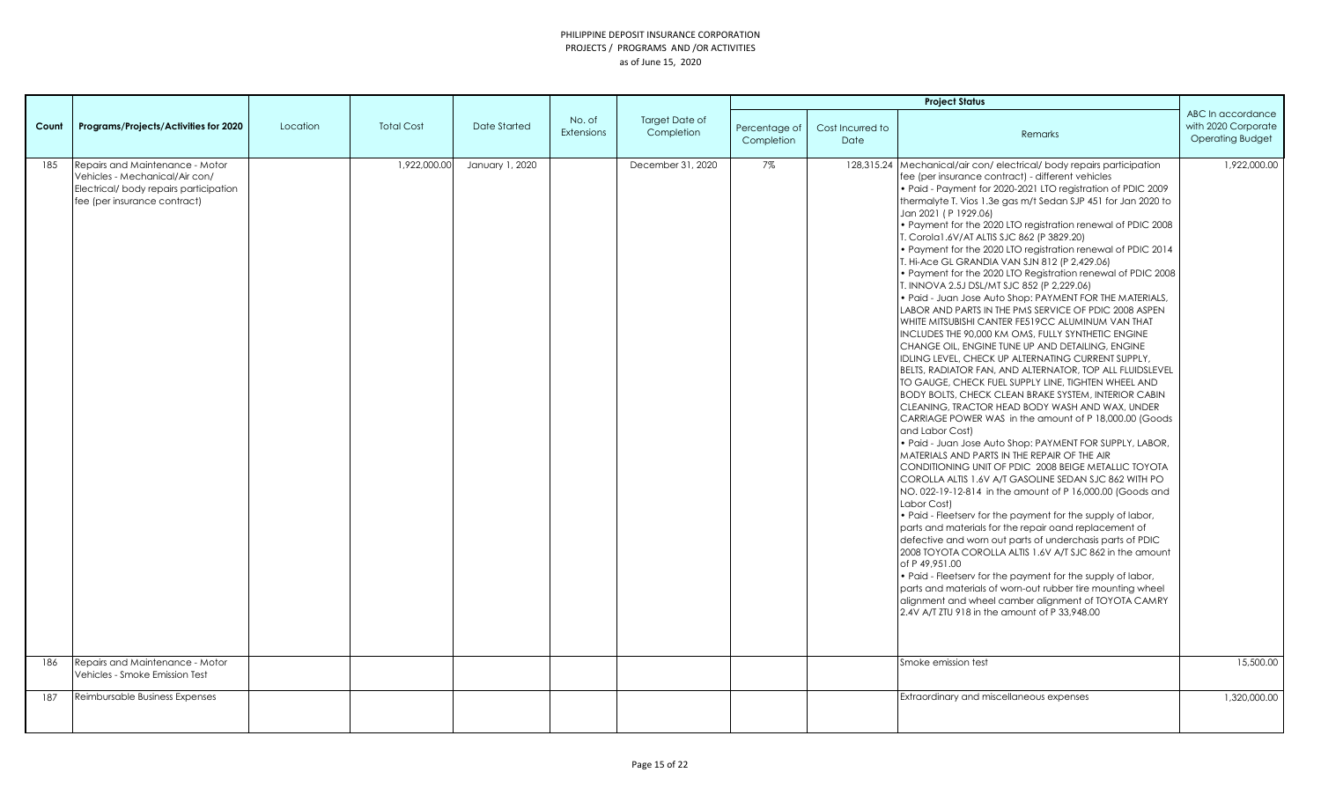|       |                                                                                                                                            |          |                   |                 |                      |                              |                             |                                 | <b>Project Status</b>                                                                                                                                                                                                                                                                                                                                                                                                                                                                                                                                                                                                                                                                                                                                                                                                                                                                                                                                                                                                                                                                                                                                                                                                                                                                                                                                                                                                                                                                                                                                                                                                                                                                                                                                                                                                                                                                                                                                                                                                                                                                                         |                                                                     |
|-------|--------------------------------------------------------------------------------------------------------------------------------------------|----------|-------------------|-----------------|----------------------|------------------------------|-----------------------------|---------------------------------|---------------------------------------------------------------------------------------------------------------------------------------------------------------------------------------------------------------------------------------------------------------------------------------------------------------------------------------------------------------------------------------------------------------------------------------------------------------------------------------------------------------------------------------------------------------------------------------------------------------------------------------------------------------------------------------------------------------------------------------------------------------------------------------------------------------------------------------------------------------------------------------------------------------------------------------------------------------------------------------------------------------------------------------------------------------------------------------------------------------------------------------------------------------------------------------------------------------------------------------------------------------------------------------------------------------------------------------------------------------------------------------------------------------------------------------------------------------------------------------------------------------------------------------------------------------------------------------------------------------------------------------------------------------------------------------------------------------------------------------------------------------------------------------------------------------------------------------------------------------------------------------------------------------------------------------------------------------------------------------------------------------------------------------------------------------------------------------------------------------|---------------------------------------------------------------------|
| Count | Programs/Projects/Activities for 2020                                                                                                      | Location | <b>Total Cost</b> | Date Started    | No. of<br>Extensions | Target Date of<br>Completion | Percentage of<br>Completion | Cost Incurred to<br><b>Date</b> | Remarks                                                                                                                                                                                                                                                                                                                                                                                                                                                                                                                                                                                                                                                                                                                                                                                                                                                                                                                                                                                                                                                                                                                                                                                                                                                                                                                                                                                                                                                                                                                                                                                                                                                                                                                                                                                                                                                                                                                                                                                                                                                                                                       | ABC In accordance<br>with 2020 Corporate<br><b>Operating Budget</b> |
| 185   | Repairs and Maintenance - Motor<br>Vehicles - Mechanical/Air con/<br>Electrical/body repairs participation<br>fee (per insurance contract) |          | 1,922,000.00      | January 1, 2020 |                      | December 31, 2020            | 7%                          |                                 | 128,315.24 Mechanical/air con/electrical/body repairs participation<br>fee (per insurance contract) - different vehicles<br>. Paid - Payment for 2020-2021 LTO registration of PDIC 2009<br>thermalyte T. Vios 1.3e gas m/t Sedan SJP 451 for Jan 2020 to<br>Jan 2021 (P 1929.06)<br>. Payment for the 2020 LTO registration renewal of PDIC 2008<br>T. Corola1.6V/AT ALTIS SJC 862 (P 3829.20)<br>• Payment for the 2020 LTO registration renewal of PDIC 2014<br>T. Hi-Ace GL GRANDIA VAN SJN 812 (P 2,429.06)<br>. Payment for the 2020 LTO Registration renewal of PDIC 2008<br>T. INNOVA 2.5J DSL/MT SJC 852 (P 2,229.06)<br>. Paid - Juan Jose Auto Shop: PAYMENT FOR THE MATERIALS,<br>LABOR AND PARTS IN THE PMS SERVICE OF PDIC 2008 ASPEN<br>WHITE MITSUBISHI CANTER FE519CC ALUMINUM VAN THAT<br>INCLUDES THE 90,000 KM OMS, FULLY SYNTHETIC ENGINE<br>CHANGE OIL, ENGINE TUNE UP AND DETAILING, ENGINE<br>IDLING LEVEL, CHECK UP ALTERNATING CURRENT SUPPLY,<br>BELTS, RADIATOR FAN, AND ALTERNATOR, TOP ALL FLUIDSLEVEL<br>TO GAUGE, CHECK FUEL SUPPLY LINE, TIGHTEN WHEEL AND<br><b>BODY BOLTS, CHECK CLEAN BRAKE SYSTEM, INTERIOR CABIN</b><br>CLEANING, TRACTOR HEAD BODY WASH AND WAX, UNDER<br>CARRIAGE POWER WAS in the amount of P 18,000.00 (Goods<br>and Labor Cost)<br>· Paid - Juan Jose Auto Shop: PAYMENT FOR SUPPLY, LABOR,<br>MATERIALS AND PARTS IN THE REPAIR OF THE AIR<br>CONDITIONING UNIT OF PDIC 2008 BEIGE METALLIC TOYOTA<br>COROLLA ALTIS 1.6V A/T GASOLINE SEDAN SJC 862 WITH PO<br>NO. 022-19-12-814 in the amount of P 16,000.00 (Goods and<br>Labor Cost)<br>• Paid - Fleetserv for the payment for the supply of labor,<br>parts and materials for the repair oand replacement of<br>defective and worn out parts of underchasis parts of PDIC<br>2008 TOYOTA COROLLA ALTIS 1.6V A/T SJC 862 in the amount<br>of P 49,951.00<br>• Paid - Fleetserv for the payment for the supply of labor,<br>parts and materials of worn-out rubber tire mounting wheel<br>alignment and wheel camber alignment of TOYOTA CAMRY<br>2.4V A/T ZTU 918 in the amount of P 33.948.00 | 1,922,000.00                                                        |
| 186   | Repairs and Maintenance - Motor<br>Vehicles - Smoke Emission Test                                                                          |          |                   |                 |                      |                              |                             |                                 | Smoke emission test                                                                                                                                                                                                                                                                                                                                                                                                                                                                                                                                                                                                                                                                                                                                                                                                                                                                                                                                                                                                                                                                                                                                                                                                                                                                                                                                                                                                                                                                                                                                                                                                                                                                                                                                                                                                                                                                                                                                                                                                                                                                                           | 15,500.00                                                           |
| 187   | Reimbursable Business Expenses                                                                                                             |          |                   |                 |                      |                              |                             |                                 | <b>Extraordinary and miscellaneous expenses</b>                                                                                                                                                                                                                                                                                                                                                                                                                                                                                                                                                                                                                                                                                                                                                                                                                                                                                                                                                                                                                                                                                                                                                                                                                                                                                                                                                                                                                                                                                                                                                                                                                                                                                                                                                                                                                                                                                                                                                                                                                                                               | 1,320,000.00                                                        |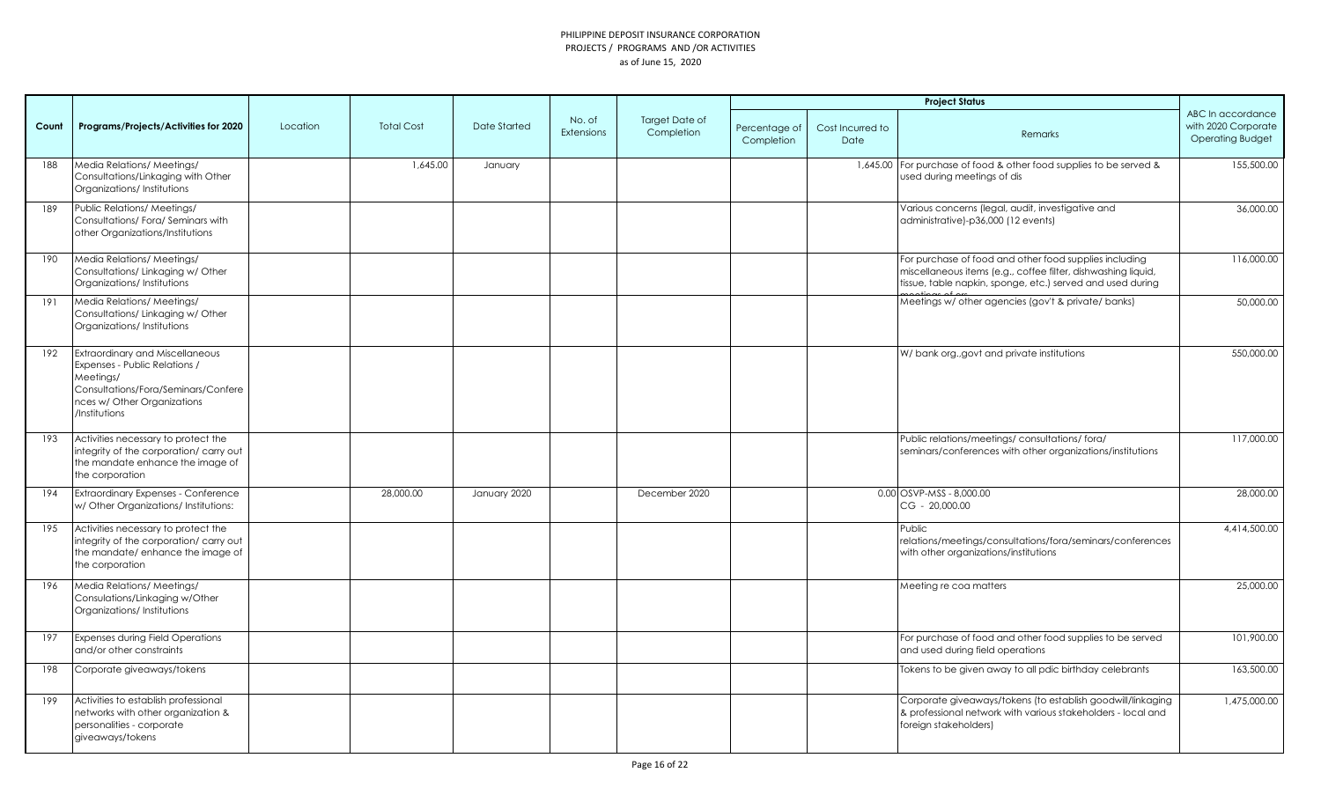|       |                                                                                                                                                                      |          |                   |              |                             |                                     |                             |                          | <b>Project Status</b>                                                                                                                                                                 |                                                                     |
|-------|----------------------------------------------------------------------------------------------------------------------------------------------------------------------|----------|-------------------|--------------|-----------------------------|-------------------------------------|-----------------------------|--------------------------|---------------------------------------------------------------------------------------------------------------------------------------------------------------------------------------|---------------------------------------------------------------------|
| Count | Programs/Projects/Activities for 2020                                                                                                                                | Location | <b>Total Cost</b> | Date Started | No. of<br><b>Extensions</b> | <b>Target Date of</b><br>Completion | Percentage of<br>Completion | Cost Incurred to<br>Date | Remarks                                                                                                                                                                               | ABC In accordance<br>with 2020 Corporate<br><b>Operating Budget</b> |
| 188   | Media Relations/ Meetings/<br>Consultations/Linkaging with Other<br>Organizations/Institutions                                                                       |          | 1,645.00          | January      |                             |                                     |                             |                          | 1,645.00 For purchase of food & other food supplies to be served &<br>used during meetings of dis                                                                                     | 155,500.00                                                          |
| 189   | Public Relations/ Meetings/<br>Consultations/Fora/Seminars with<br>other Organizations/Institutions                                                                  |          |                   |              |                             |                                     |                             |                          | Various concerns (legal, audit, investigative and<br>administrative)-p36,000 (12 events)                                                                                              | 36,000.00                                                           |
| 190   | Media Relations/ Meetings/<br>Consultations/Linkaging w/Other<br>Organizations/Institutions                                                                          |          |                   |              |                             |                                     |                             |                          | For purchase of food and other food supplies including<br>miscellaneous items (e.g., coffee filter, dishwashing liquid,<br>tissue, table napkin, sponge, etc.) served and used during | 116,000.00                                                          |
| 191   | Media Relations/ Meetings/<br>Consultations/Linkaging w/Other<br>Organizations/Institutions                                                                          |          |                   |              |                             |                                     |                             |                          | Meetings w/ other agencies (gov't & private/ banks)                                                                                                                                   | 50,000.00                                                           |
| 192   | Extraordinary and Miscellaneous<br>Expenses - Public Relations /<br>Meetings/<br>Consultations/Fora/Seminars/Confere<br>nces w/ Other Organizations<br>/Institutions |          |                   |              |                             |                                     |                             |                          | W/ bank org., govt and private institutions                                                                                                                                           | 550,000.00                                                          |
| 193   | Activities necessary to protect the<br>integrity of the corporation/ carry out<br>the mandate enhance the image of<br>the corporation                                |          |                   |              |                             |                                     |                             |                          | Public relations/meetings/consultations/fora/<br>seminars/conferences with other organizations/institutions                                                                           | 117,000.00                                                          |
| 194   | <b>Extraordinary Expenses - Conference</b><br>w/ Other Organizations/ Institutions:                                                                                  |          | 28,000.00         | January 2020 |                             | December 2020                       |                             |                          | $0.00$ OSVP-MSS - 8,000.00<br>CG - 20,000.00                                                                                                                                          | 28,000.00                                                           |
| 195   | Activities necessary to protect the<br>integrity of the corporation/ carry out<br>the mandate/enhance the image of<br>the corporation                                |          |                   |              |                             |                                     |                             |                          | Public<br>relations/meetings/consultations/fora/seminars/conferences<br>with other organizations/institutions                                                                         | 4,414,500.00                                                        |
| 196   | Media Relations/ Meetings/<br>Consulations/Linkaging w/Other<br>Organizations/Institutions                                                                           |          |                   |              |                             |                                     |                             |                          | Meeting re coa matters                                                                                                                                                                | 25,000.00                                                           |
| 197   | <b>Expenses during Field Operations</b><br>and/or other constraints                                                                                                  |          |                   |              |                             |                                     |                             |                          | For purchase of food and other food supplies to be served<br>and used during field operations                                                                                         | 101,900.00                                                          |
| 198   | Corporate giveaways/tokens                                                                                                                                           |          |                   |              |                             |                                     |                             |                          | Tokens to be given away to all pdic birthday celebrants                                                                                                                               | 163,500.00                                                          |
| 199   | Activities to establish professional<br>networks with other organization &<br>personalities - corporate<br>giveaways/tokens                                          |          |                   |              |                             |                                     |                             |                          | Corporate giveaways/tokens (to establish goodwill/linkaging<br>& professional network with various stakeholders - local and<br>foreign stakeholders)                                  | 1,475,000.00                                                        |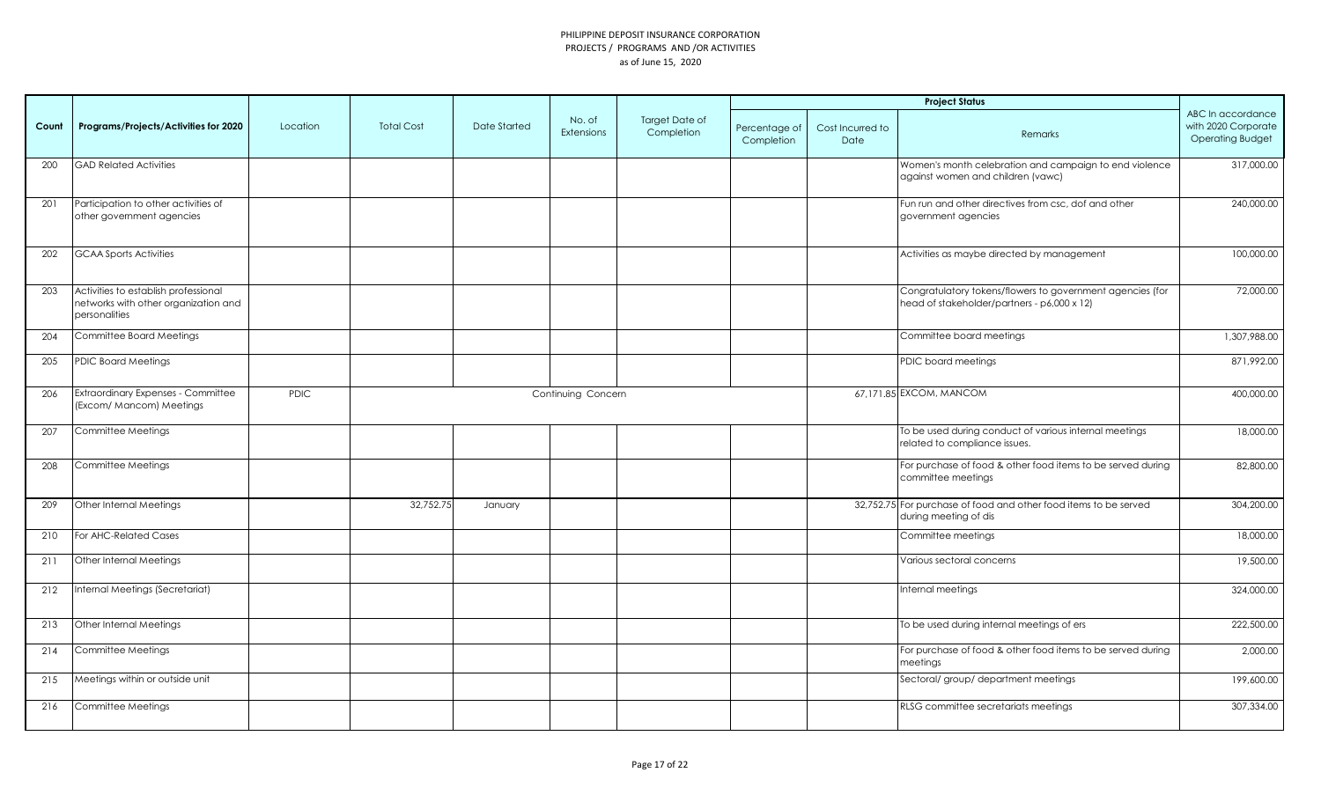|       |                                                                                               |             |                   |                     |                             |                              |                             |                          | <b>Project Status</b>                                                                                    |                                                                     |
|-------|-----------------------------------------------------------------------------------------------|-------------|-------------------|---------------------|-----------------------------|------------------------------|-----------------------------|--------------------------|----------------------------------------------------------------------------------------------------------|---------------------------------------------------------------------|
| Count | Programs/Projects/Activities for 2020                                                         | Location    | <b>Total Cost</b> | <b>Date Started</b> | No. of<br><b>Extensions</b> | Target Date of<br>Completion | Percentage of<br>Completion | Cost Incurred to<br>Date | Remarks                                                                                                  | ABC In accordance<br>with 2020 Corporate<br><b>Operating Budget</b> |
| 200   | <b>GAD Related Activities</b>                                                                 |             |                   |                     |                             |                              |                             |                          | Women's month celebration and campaign to end violence<br>against women and children (vawc)              | 317,000.00                                                          |
| 201   | Participation to other activities of<br>other government agencies                             |             |                   |                     |                             |                              |                             |                          | Fun run and other directives from csc, dof and other<br>government agencies                              | 240,000.00                                                          |
| 202   | <b>GCAA Sports Activities</b>                                                                 |             |                   |                     |                             |                              |                             |                          | Activities as maybe directed by management                                                               | 100,000.00                                                          |
| 203   | Activities to establish professional<br>networks with other organization and<br>personalities |             |                   |                     |                             |                              |                             |                          | Congratulatory tokens/flowers to government agencies (for<br>head of stakeholder/partners - p6,000 x 12) | 72,000.00                                                           |
| 204   | Committee Board Meetings                                                                      |             |                   |                     |                             |                              |                             |                          | Committee board meetings                                                                                 | 1,307,988.00                                                        |
| 205   | <b>PDIC Board Meetings</b>                                                                    |             |                   |                     |                             |                              |                             |                          | PDIC board meetings                                                                                      | 871,992.00                                                          |
| 206   | Extraordinary Expenses - Committee<br>(Excom/ Mancom) Meetings                                | <b>PDIC</b> |                   |                     | Continuing Concern          |                              |                             |                          | 67,171.85 EXCOM, MANCOM                                                                                  | 400,000.00                                                          |
| 207   | Committee Meetings                                                                            |             |                   |                     |                             |                              |                             |                          | To be used during conduct of various internal meetings<br>related to compliance issues.                  | 18,000.00                                                           |
| 208   | Committee Meetings                                                                            |             |                   |                     |                             |                              |                             |                          | For purchase of food & other food items to be served during<br>committee meetings                        | 82,800.00                                                           |
| 209   | Other Internal Meetings                                                                       |             | 32,752.75         | January             |                             |                              |                             |                          | 32,752.75 For purchase of food and other food items to be served<br>during meeting of dis                | 304,200.00                                                          |
| 210   | For AHC-Related Cases                                                                         |             |                   |                     |                             |                              |                             |                          | Committee meetings                                                                                       | 18,000.00                                                           |
| 211   | Other Internal Meetings                                                                       |             |                   |                     |                             |                              |                             |                          | Various sectoral concerns                                                                                | 19,500.00                                                           |
| 212   | Internal Meetings (Secretariat)                                                               |             |                   |                     |                             |                              |                             |                          | Internal meetings                                                                                        | 324,000.00                                                          |
| 213   | Other Internal Meetings                                                                       |             |                   |                     |                             |                              |                             |                          | To be used during internal meetings of ers                                                               | 222,500.00                                                          |
| 214   | Committee Meetings                                                                            |             |                   |                     |                             |                              |                             |                          | For purchase of food & other food items to be served during<br>meetings                                  | 2,000.00                                                            |
| 215   | Meetings within or outside unit                                                               |             |                   |                     |                             |                              |                             |                          | Sectoral/group/department meetings                                                                       | 199,600.00                                                          |
| 216   | Committee Meetings                                                                            |             |                   |                     |                             |                              |                             |                          | RLSG committee secretariats meetings                                                                     | 307,334.00                                                          |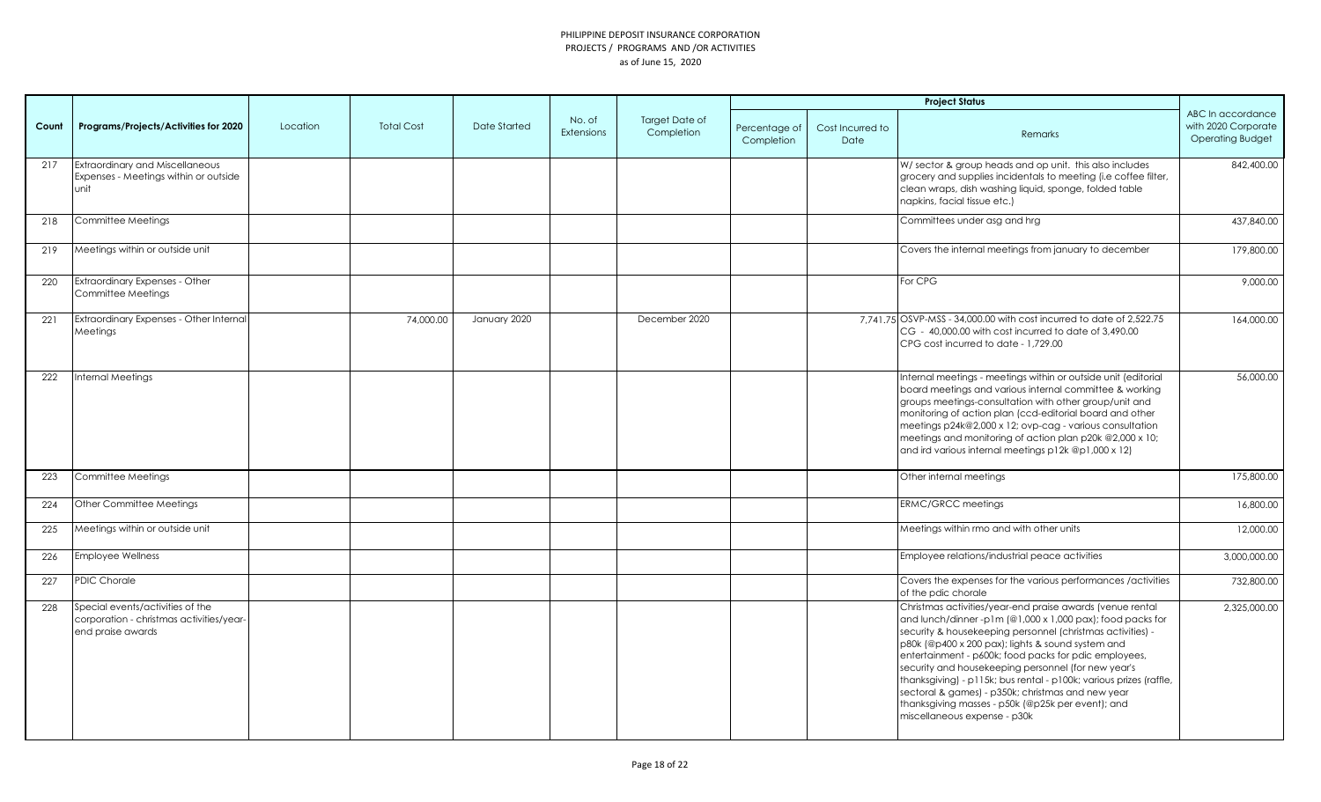|       |                                                                                                   |          |                   |                     |                             |                              |                             |                          | <b>Project Status</b>                                                                                                                                                                                                                                                                                                                                                                                                                                                                                                                                                     |                                                                     |
|-------|---------------------------------------------------------------------------------------------------|----------|-------------------|---------------------|-----------------------------|------------------------------|-----------------------------|--------------------------|---------------------------------------------------------------------------------------------------------------------------------------------------------------------------------------------------------------------------------------------------------------------------------------------------------------------------------------------------------------------------------------------------------------------------------------------------------------------------------------------------------------------------------------------------------------------------|---------------------------------------------------------------------|
| Count | Programs/Projects/Activities for 2020                                                             | Location | <b>Total Cost</b> | <b>Date Started</b> | No. of<br><b>Extensions</b> | Target Date of<br>Completion | Percentage of<br>Completion | Cost Incurred to<br>Date | Remarks                                                                                                                                                                                                                                                                                                                                                                                                                                                                                                                                                                   | ABC In accordance<br>with 2020 Corporate<br><b>Operating Budget</b> |
| 217   | <b>Extraordinary and Miscellaneous</b><br>Expenses - Meetings within or outside<br>unit           |          |                   |                     |                             |                              |                             |                          | W/ sector & group heads and op unit. this also includes<br>grocery and supplies incidentals to meeting (i.e coffee filter,<br>clean wraps, dish washing liquid, sponge, folded table<br>napkins, facial tissue etc.)                                                                                                                                                                                                                                                                                                                                                      | 842,400.00                                                          |
| 218   | Committee Meetings                                                                                |          |                   |                     |                             |                              |                             |                          | Committees under asg and hrg                                                                                                                                                                                                                                                                                                                                                                                                                                                                                                                                              | 437,840.00                                                          |
| 219   | Meetings within or outside unit                                                                   |          |                   |                     |                             |                              |                             |                          | Covers the internal meetings from january to december                                                                                                                                                                                                                                                                                                                                                                                                                                                                                                                     | 179,800.00                                                          |
| 220   | Extraordinary Expenses - Other<br>Committee Meetings                                              |          |                   |                     |                             |                              |                             |                          | For CPG                                                                                                                                                                                                                                                                                                                                                                                                                                                                                                                                                                   | 9,000.00                                                            |
| 221   | Extraordinary Expenses - Other Internal<br>Meetings                                               |          | 74,000.00         | January 2020        |                             | December 2020                |                             |                          | 7,741.75 OSVP-MSS - 34,000.00 with cost incurred to date of 2,522.75<br>CG - 40,000.00 with cost incurred to date of 3,490.00<br>CPG cost incurred to date - 1,729.00                                                                                                                                                                                                                                                                                                                                                                                                     | 164,000.00                                                          |
| 222   | Internal Meetings                                                                                 |          |                   |                     |                             |                              |                             |                          | Internal meetings - meetings within or outside unit (editorial<br>board meetings and various internal committee & working<br>groups meetings-consultation with other group/unit and<br>monitoring of action plan (ccd-editorial board and other<br>meetings p24k@2,000 x 12; ovp-cag - various consultation<br>meetings and monitoring of action plan p20k @2,000 x 10;<br>and ird various internal meetings p12k @p1,000 x 12)                                                                                                                                           | 56,000.00                                                           |
| 223   | Committee Meetings                                                                                |          |                   |                     |                             |                              |                             |                          | Other internal meetings                                                                                                                                                                                                                                                                                                                                                                                                                                                                                                                                                   | 175,800.00                                                          |
| 224   | Other Committee Meetings                                                                          |          |                   |                     |                             |                              |                             |                          | <b>ERMC/GRCC meetings</b>                                                                                                                                                                                                                                                                                                                                                                                                                                                                                                                                                 | 16,800.00                                                           |
| 225   | Meetings within or outside unit                                                                   |          |                   |                     |                             |                              |                             |                          | Meetings within rmo and with other units                                                                                                                                                                                                                                                                                                                                                                                                                                                                                                                                  | 12,000.00                                                           |
| 226   | <b>Employee Wellness</b>                                                                          |          |                   |                     |                             |                              |                             |                          | Employee relations/industrial peace activities                                                                                                                                                                                                                                                                                                                                                                                                                                                                                                                            | 3,000,000.00                                                        |
| 227   | <b>PDIC Chorale</b>                                                                               |          |                   |                     |                             |                              |                             |                          | Covers the expenses for the various performances / activities<br>of the pdic chorale                                                                                                                                                                                                                                                                                                                                                                                                                                                                                      | 732,800.00                                                          |
| 228   | Special events/activities of the<br>corporation - christmas activities/year-<br>end praise awards |          |                   |                     |                             |                              |                             |                          | Christmas activities/year-end praise awards (venue rental<br>and lunch/dinner-p1m (@1,000 x 1,000 pax); food packs for<br>security & housekeeping personnel (christmas activities) -<br>p80k (@p400 x 200 pax); lights & sound system and<br>entertainment - p600k; food packs for pdic employees,<br>security and housekeeping personnel (for new year's<br>thanksgiving) - p115k; bus rental - p100k; various prizes (raffle,<br>sectoral & games) - p350k; christmas and new year<br>thanksgiving masses - p50k (@p25k per event); and<br>miscellaneous expense - p30k | 2,325,000.00                                                        |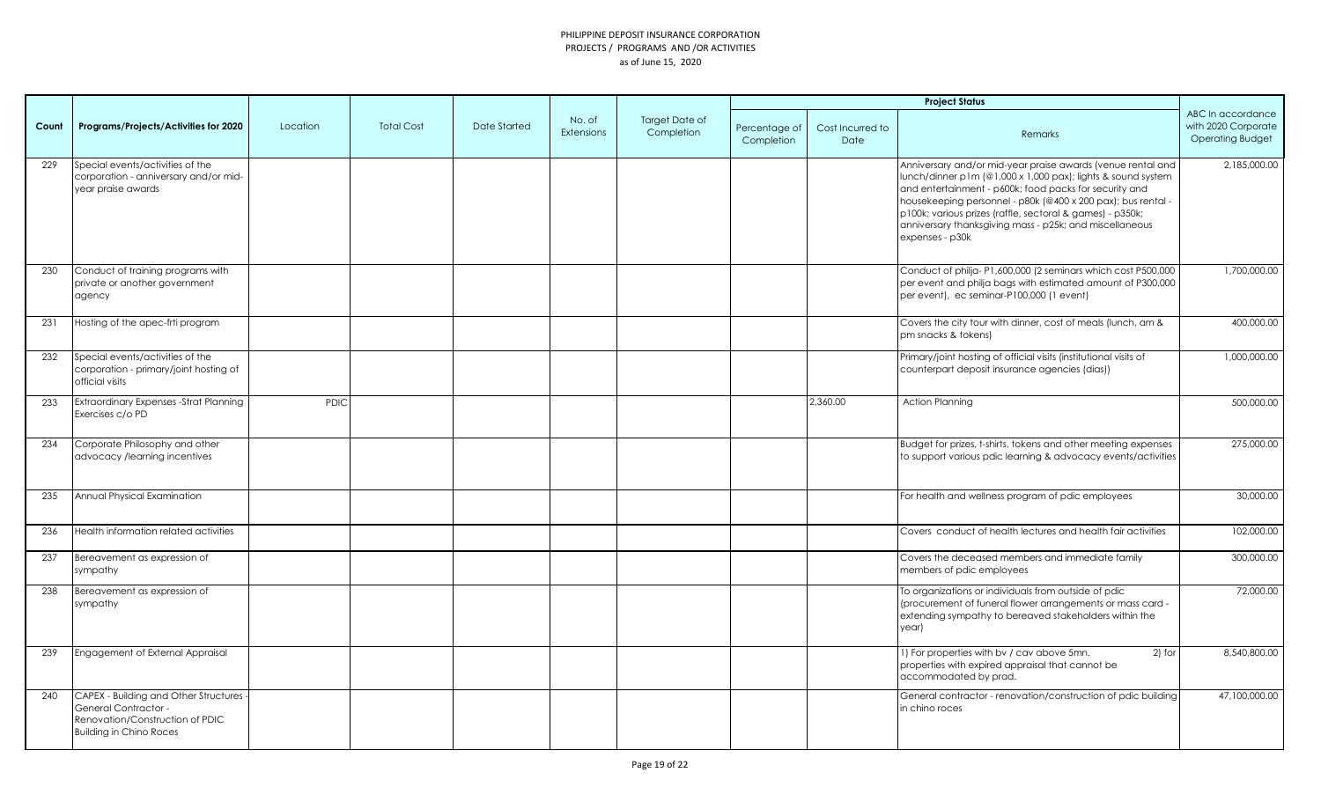|       |                                                                                                                                      |          |                   |              |                             |                              |                             |                          | <b>Project Status</b>                                                                                                                                                                                                                                                                                                                                                                            |                                                                     |
|-------|--------------------------------------------------------------------------------------------------------------------------------------|----------|-------------------|--------------|-----------------------------|------------------------------|-----------------------------|--------------------------|--------------------------------------------------------------------------------------------------------------------------------------------------------------------------------------------------------------------------------------------------------------------------------------------------------------------------------------------------------------------------------------------------|---------------------------------------------------------------------|
| Count | Programs/Projects/Activities for 2020                                                                                                | Location | <b>Total Cost</b> | Date Started | No. of<br><b>Extensions</b> | Target Date of<br>Completion | Percentage of<br>Completion | Cost Incurred to<br>Date | Remarks                                                                                                                                                                                                                                                                                                                                                                                          | ABC In accordance<br>with 2020 Corporate<br><b>Operating Budget</b> |
| 229   | Special events/activities of the<br>corporation - anniversary and/or mid-<br>year praise awards                                      |          |                   |              |                             |                              |                             |                          | Anniversary and/or mid-year praise awards (venue rental and<br>lunch/dinner p1m (@1,000 x 1,000 pax); lights & sound system<br>and entertainment - p600k; food packs for security and<br>housekeeping personnel - p80k (@400 x 200 pax); bus rental -<br>p100k; various prizes (raffle, sectoral & games) - p350k;<br>anniversary thanksgiving mass - p25k; and miscellaneous<br>expenses - p30k | 2,185,000.00                                                        |
| 230   | Conduct of training programs with<br>private or another government<br>agency                                                         |          |                   |              |                             |                              |                             |                          | Conduct of philja-P1,600,000 (2 seminars which cost P500,000<br>per event and philja bags with estimated amount of P300,000<br>per event), ec seminar-P100,000 (1 event)                                                                                                                                                                                                                         | 1,700,000.00                                                        |
| 231   | Hosting of the apec-frti program                                                                                                     |          |                   |              |                             |                              |                             |                          | Covers the city tour with dinner, cost of meals (lunch, am &<br>pm snacks & tokens)                                                                                                                                                                                                                                                                                                              | 400,000.00                                                          |
| 232   | Special events/activities of the<br>corporation - primary/joint hosting of<br>official visits                                        |          |                   |              |                             |                              |                             |                          | Primary/joint hosting of official visits (institutional visits of<br>counterpart deposit insurance agencies (dias))                                                                                                                                                                                                                                                                              | 1,000,000.00                                                        |
| 233   | <b>Extraordinary Expenses - Strat Planning</b><br>Exercises c/o PD                                                                   | PDIC     |                   |              |                             |                              |                             | 2,360.00                 | <b>Action Planning</b>                                                                                                                                                                                                                                                                                                                                                                           | 500,000.00                                                          |
| 234   | Corporate Philosophy and other<br>advocacy /learning incentives                                                                      |          |                   |              |                             |                              |                             |                          | Budget for prizes, t-shirts, tokens and other meeting expenses<br>to support various pdic learning & advocacy events/activities                                                                                                                                                                                                                                                                  | 275,000.00                                                          |
| 235   | Annual Physical Examination                                                                                                          |          |                   |              |                             |                              |                             |                          | For health and wellness program of pdic employees                                                                                                                                                                                                                                                                                                                                                | 30,000,00                                                           |
| 236   | Health information related activities                                                                                                |          |                   |              |                             |                              |                             |                          | Covers conduct of health lectures and health fair activities                                                                                                                                                                                                                                                                                                                                     | 102,000.00                                                          |
| 237   | Bereavement as expression of<br>sympathy                                                                                             |          |                   |              |                             |                              |                             |                          | Covers the deceased members and immediate family<br>members of pdic employees                                                                                                                                                                                                                                                                                                                    | 300,000.00                                                          |
| 238   | Bereavement as expression of<br>sympathy                                                                                             |          |                   |              |                             |                              |                             |                          | To organizations or individuals from outside of pdic<br>(procurement of funeral flower arrangements or mass card -<br>extending sympathy to bereaved stakeholders within the<br>year)                                                                                                                                                                                                            | 72,000.00                                                           |
| 239   | Engagement of External Appraisal                                                                                                     |          |                   |              |                             |                              |                             |                          | 1) For properties with bv / cav above 5mn.<br>$2)$ for<br>properties with expired appraisal that cannot be<br>accommodated by prad.                                                                                                                                                                                                                                                              | 8,540,800.00                                                        |
| 240   | CAPEX - Building and Other Structures -<br>General Contractor -<br>Renovation/Construction of PDIC<br><b>Building in Chino Roces</b> |          |                   |              |                             |                              |                             |                          | General contractor - renovation/construction of pdic building<br>in chino roces                                                                                                                                                                                                                                                                                                                  | 47,100,000.00                                                       |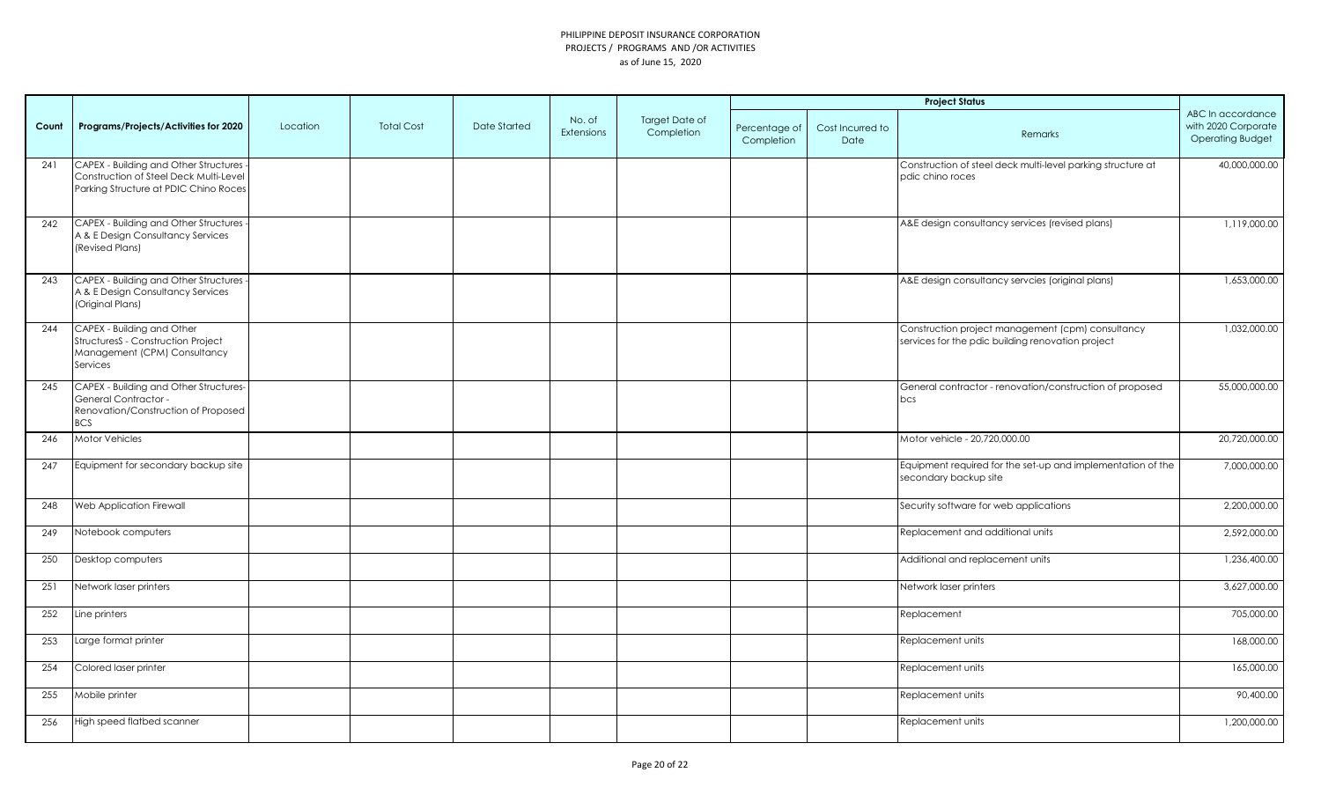|       |                                                                                                                            |          |                   |              |                             |                              | <b>Project Status</b>       |                          |                                                                                                        |                                                                     |
|-------|----------------------------------------------------------------------------------------------------------------------------|----------|-------------------|--------------|-----------------------------|------------------------------|-----------------------------|--------------------------|--------------------------------------------------------------------------------------------------------|---------------------------------------------------------------------|
| Count | Programs/Projects/Activities for 2020                                                                                      | Location | <b>Total Cost</b> | Date Started | No. of<br><b>Extensions</b> | Target Date of<br>Completion | Percentage of<br>Completion | Cost Incurred to<br>Date | Remarks                                                                                                | ABC In accordance<br>with 2020 Corporate<br><b>Operating Budget</b> |
| 241   | CAPEX - Building and Other Structures<br>Construction of Steel Deck Multi-Level<br>Parking Structure at PDIC Chino Roces   |          |                   |              |                             |                              |                             |                          | Construction of steel deck multi-level parking structure at<br>pdic chino roces                        | 40,000,000.00                                                       |
| 242   | <b>CAPEX - Building and Other Structures</b><br>A & E Design Consultancy Services<br>(Revised Plans)                       |          |                   |              |                             |                              |                             |                          | A&E design consultancy services (revised plans)                                                        | 1,119,000.00                                                        |
| 243   | <b>CAPEX - Building and Other Structures</b><br>A & E Design Consultancy Services<br>(Original Plans)                      |          |                   |              |                             |                              |                             |                          | A&E design consultancy servcies (original plans)                                                       | 1,653,000.00                                                        |
| 244   | CAPEX - Building and Other<br>StructuresS - Construction Project<br>Management (CPM) Consultancy<br>Services               |          |                   |              |                             |                              |                             |                          | Construction project management (cpm) consultancy<br>services for the pdic building renovation project | 1,032,000.00                                                        |
| 245   | <b>CAPEX - Building and Other Structures-</b><br>General Contractor -<br>Renovation/Construction of Proposed<br><b>BCS</b> |          |                   |              |                             |                              |                             |                          | General contractor - renovation/construction of proposed<br>bcs                                        | 55,000,000.00                                                       |
| 246   | <b>Motor Vehicles</b>                                                                                                      |          |                   |              |                             |                              |                             |                          | Motor vehicle - 20,720,000.00                                                                          | 20,720,000.00                                                       |
| 247   | Equipment for secondary backup site                                                                                        |          |                   |              |                             |                              |                             |                          | Equipment required for the set-up and implementation of the<br>secondary backup site                   | 7,000,000.00                                                        |
| 248   | Web Application Firewall                                                                                                   |          |                   |              |                             |                              |                             |                          | Security software for web applications                                                                 | 2,200,000.00                                                        |
| 249   | Notebook computers                                                                                                         |          |                   |              |                             |                              |                             |                          | Replacement and additional units                                                                       | 2,592,000.00                                                        |
| 250   | Desktop computers                                                                                                          |          |                   |              |                             |                              |                             |                          | Additional and replacement units                                                                       | 1,236,400.00                                                        |
| 251   | Network laser printers                                                                                                     |          |                   |              |                             |                              |                             |                          | Network laser printers                                                                                 | 3,627,000.00                                                        |
| 252   | Line printers                                                                                                              |          |                   |              |                             |                              |                             |                          | Replacement                                                                                            | 705,000.00                                                          |
| 253   | Large format printer                                                                                                       |          |                   |              |                             |                              |                             |                          | Replacement units                                                                                      | 168,000.00                                                          |
| 254   | Colored laser printer                                                                                                      |          |                   |              |                             |                              |                             |                          | Replacement units                                                                                      | 165,000.00                                                          |
| 255   | Mobile printer                                                                                                             |          |                   |              |                             |                              |                             |                          | Replacement units                                                                                      | 90,400.00                                                           |
| 256   | High speed flatbed scanner                                                                                                 |          |                   |              |                             |                              |                             |                          | Replacement units                                                                                      | 1,200,000.00                                                        |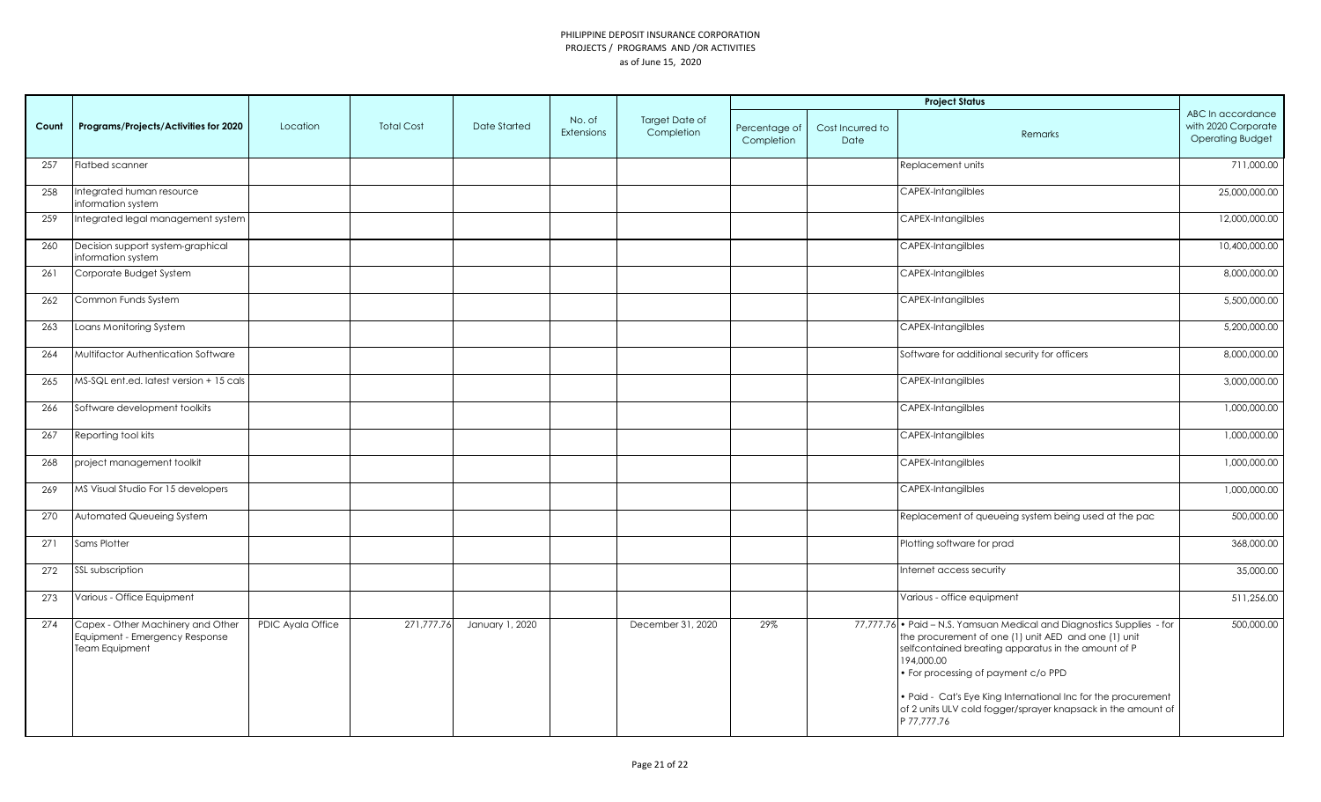|       |                                                                                              |                   |                   |                 |                             |                                     |                             |                          | <b>Project Status</b>                                                                                                                                                                                                                                                                                                                                                                    |                                                                     |
|-------|----------------------------------------------------------------------------------------------|-------------------|-------------------|-----------------|-----------------------------|-------------------------------------|-----------------------------|--------------------------|------------------------------------------------------------------------------------------------------------------------------------------------------------------------------------------------------------------------------------------------------------------------------------------------------------------------------------------------------------------------------------------|---------------------------------------------------------------------|
| Count | Programs/Projects/Activities for 2020                                                        | Location          | <b>Total Cost</b> | Date Started    | No. of<br><b>Extensions</b> | <b>Target Date of</b><br>Completion | Percentage of<br>Completion | Cost Incurred to<br>Date | Remarks                                                                                                                                                                                                                                                                                                                                                                                  | ABC In accordance<br>with 2020 Corporate<br><b>Operating Budget</b> |
| 257   | <b>Flatbed scanner</b>                                                                       |                   |                   |                 |                             |                                     |                             |                          | Replacement units                                                                                                                                                                                                                                                                                                                                                                        | 711,000.00                                                          |
| 258   | Integrated human resource<br>information system                                              |                   |                   |                 |                             |                                     |                             |                          | <b>CAPEX-Intangilbles</b>                                                                                                                                                                                                                                                                                                                                                                | 25,000,000.00                                                       |
| 259   | Integrated legal management system                                                           |                   |                   |                 |                             |                                     |                             |                          | <b>CAPEX-Intangilbles</b>                                                                                                                                                                                                                                                                                                                                                                | 12.000.000.00                                                       |
| 260   | Decision support system-graphical<br>information system                                      |                   |                   |                 |                             |                                     |                             |                          | <b>CAPEX-Intangilbles</b>                                                                                                                                                                                                                                                                                                                                                                | 10,400,000.00                                                       |
| 261   | Corporate Budget System                                                                      |                   |                   |                 |                             |                                     |                             |                          | CAPEX-Intangilbles                                                                                                                                                                                                                                                                                                                                                                       | 8,000,000.00                                                        |
| 262   | Common Funds System                                                                          |                   |                   |                 |                             |                                     |                             |                          | <b>CAPEX-Intangilbles</b>                                                                                                                                                                                                                                                                                                                                                                | 5,500,000.00                                                        |
| 263   | Loans Monitoring System                                                                      |                   |                   |                 |                             |                                     |                             |                          | <b>CAPEX-Intangilbles</b>                                                                                                                                                                                                                                                                                                                                                                | 5,200,000.00                                                        |
| 264   | Multifactor Authentication Software                                                          |                   |                   |                 |                             |                                     |                             |                          | Software for additional security for officers                                                                                                                                                                                                                                                                                                                                            | 8,000,000.00                                                        |
| 265   | MS-SQL ent.ed. latest version + 15 cals                                                      |                   |                   |                 |                             |                                     |                             |                          | CAPEX-Intangilbles                                                                                                                                                                                                                                                                                                                                                                       | 3,000,000.00                                                        |
| 266   | Software development toolkits                                                                |                   |                   |                 |                             |                                     |                             |                          | <b>CAPEX-Intangilbles</b>                                                                                                                                                                                                                                                                                                                                                                | 1,000,000.00                                                        |
| 267   | Reporting tool kits                                                                          |                   |                   |                 |                             |                                     |                             |                          | CAPEX-Intangilbles                                                                                                                                                                                                                                                                                                                                                                       | 1,000,000.00                                                        |
| 268   | project management toolkit                                                                   |                   |                   |                 |                             |                                     |                             |                          | <b>CAPEX-Intangilbles</b>                                                                                                                                                                                                                                                                                                                                                                | 1,000,000.00                                                        |
| 269   | MS Visual Studio For 15 developers                                                           |                   |                   |                 |                             |                                     |                             |                          | CAPEX-Intangilbles                                                                                                                                                                                                                                                                                                                                                                       | 1,000,000.00                                                        |
| 270   | Automated Queueing System                                                                    |                   |                   |                 |                             |                                     |                             |                          | Replacement of queueing system being used at the pac                                                                                                                                                                                                                                                                                                                                     | 500,000.00                                                          |
| 271   | Sams Plotter                                                                                 |                   |                   |                 |                             |                                     |                             |                          | Plotting software for prad                                                                                                                                                                                                                                                                                                                                                               | 368,000.00                                                          |
| 272   | SSL subscription                                                                             |                   |                   |                 |                             |                                     |                             |                          | Internet access security                                                                                                                                                                                                                                                                                                                                                                 | 35,000.00                                                           |
| 273   | Various - Office Equipment                                                                   |                   |                   |                 |                             |                                     |                             |                          | Various - office equipment                                                                                                                                                                                                                                                                                                                                                               | 511,256.00                                                          |
| 274   | Capex - Other Machinery and Other<br>Equipment - Emergency Response<br><b>Team Equipment</b> | PDIC Ayala Office | 271,777.76        | January 1, 2020 |                             | December 31, 2020                   | 29%                         |                          | 77,777.76 • Paid - N.S. Yamsuan Medical and Diagnostics Supplies - for<br>the procurement of one (1) unit AED and one (1) unit<br>selfcontained breating apparatus in the amount of P<br>194,000.00<br>For processing of payment c/o PPD<br>. Paid - Cat's Eye King International Inc for the procurement<br>of 2 units ULV cold fogger/sprayer knapsack in the amount of<br>P 77,777.76 | 500,000.00                                                          |